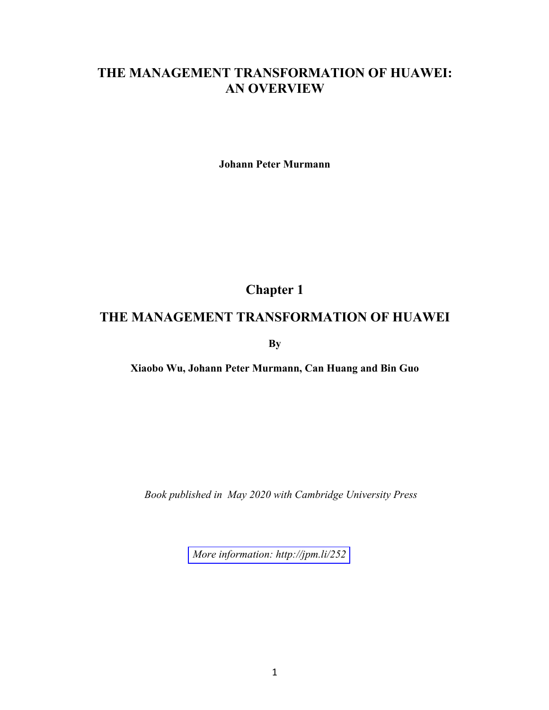# **THE MANAGEMENT TRANSFORMATION OF HUAWEI: AN OVERVIEW**

**Johann Peter Murmann** 

# **Chapter 1**

# **THE MANAGEMENT TRANSFORMATION OF HUAWEI**

**By** 

**Xiaobo Wu, Johann Peter Murmann, Can Huang and Bin Guo** 

*Book published in May 2020 with Cambridge University Press*

*[More information: http://jpm.li/252](http://jpm.li/252)*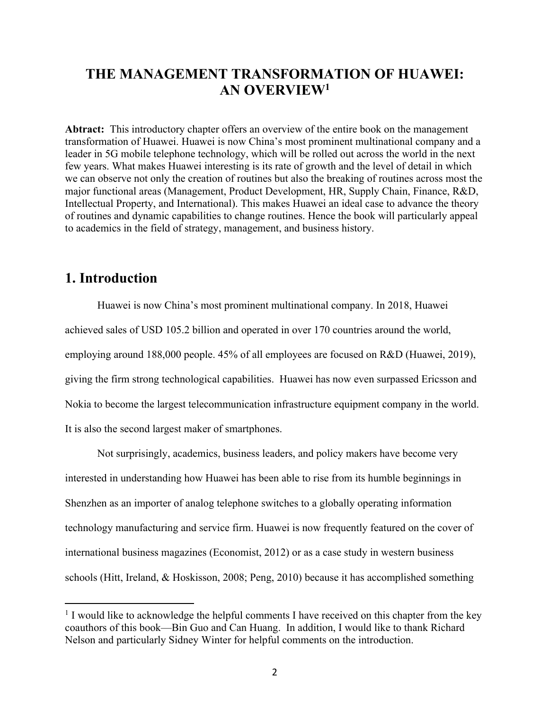# **THE MANAGEMENT TRANSFORMATION OF HUAWEI: AN OVERVIEW1**

**Abtract:** This introductory chapter offers an overview of the entire book on the management transformation of Huawei. Huawei is now China's most prominent multinational company and a leader in 5G mobile telephone technology, which will be rolled out across the world in the next few years. What makes Huawei interesting is its rate of growth and the level of detail in which we can observe not only the creation of routines but also the breaking of routines across most the major functional areas (Management, Product Development, HR, Supply Chain, Finance, R&D, Intellectual Property, and International). This makes Huawei an ideal case to advance the theory of routines and dynamic capabilities to change routines. Hence the book will particularly appeal to academics in the field of strategy, management, and business history.

## **1. Introduction**

 $\overline{a}$ 

Huawei is now China's most prominent multinational company. In 2018, Huawei achieved sales of USD 105.2 billion and operated in over 170 countries around the world, employing around 188,000 people. 45% of all employees are focused on R&D (Huawei, 2019), giving the firm strong technological capabilities. Huawei has now even surpassed Ericsson and Nokia to become the largest telecommunication infrastructure equipment company in the world. It is also the second largest maker of smartphones.

Not surprisingly, academics, business leaders, and policy makers have become very interested in understanding how Huawei has been able to rise from its humble beginnings in Shenzhen as an importer of analog telephone switches to a globally operating information technology manufacturing and service firm. Huawei is now frequently featured on the cover of international business magazines (Economist, 2012) or as a case study in western business schools (Hitt, Ireland, & Hoskisson, 2008; Peng, 2010) because it has accomplished something

<sup>&</sup>lt;sup>1</sup> I would like to acknowledge the helpful comments I have received on this chapter from the key coauthors of this book—Bin Guo and Can Huang. In addition, I would like to thank Richard Nelson and particularly Sidney Winter for helpful comments on the introduction.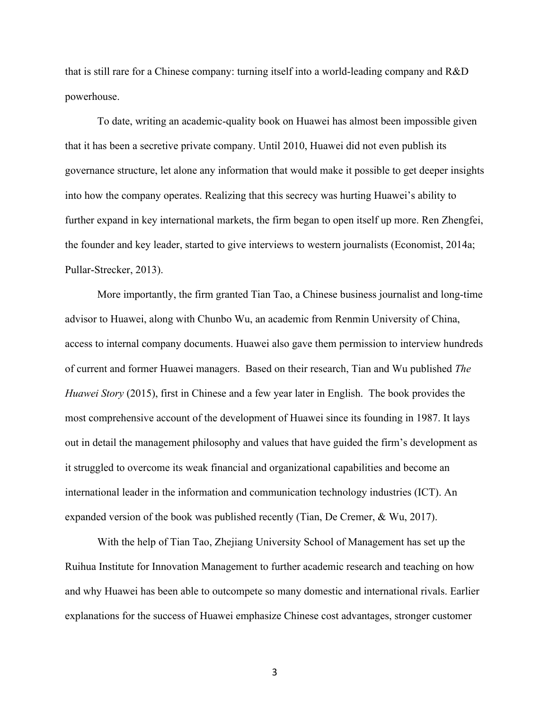that is still rare for a Chinese company: turning itself into a world-leading company and R&D powerhouse.

To date, writing an academic-quality book on Huawei has almost been impossible given that it has been a secretive private company. Until 2010, Huawei did not even publish its governance structure, let alone any information that would make it possible to get deeper insights into how the company operates. Realizing that this secrecy was hurting Huawei's ability to further expand in key international markets, the firm began to open itself up more. Ren Zhengfei, the founder and key leader, started to give interviews to western journalists (Economist, 2014a; Pullar-Strecker, 2013).

More importantly, the firm granted Tian Tao, a Chinese business journalist and long-time advisor to Huawei, along with Chunbo Wu, an academic from Renmin University of China, access to internal company documents. Huawei also gave them permission to interview hundreds of current and former Huawei managers. Based on their research, Tian and Wu published *The Huawei Story* (2015), first in Chinese and a few year later in English. The book provides the most comprehensive account of the development of Huawei since its founding in 1987. It lays out in detail the management philosophy and values that have guided the firm's development as it struggled to overcome its weak financial and organizational capabilities and become an international leader in the information and communication technology industries (ICT). An expanded version of the book was published recently (Tian, De Cremer, & Wu, 2017).

With the help of Tian Tao, Zhejiang University School of Management has set up the Ruihua Institute for Innovation Management to further academic research and teaching on how and why Huawei has been able to outcompete so many domestic and international rivals. Earlier explanations for the success of Huawei emphasize Chinese cost advantages, stronger customer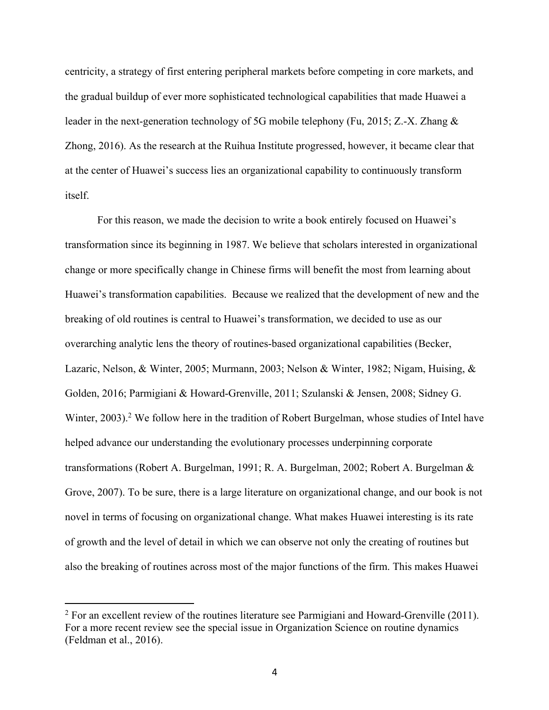centricity, a strategy of first entering peripheral markets before competing in core markets, and the gradual buildup of ever more sophisticated technological capabilities that made Huawei a leader in the next-generation technology of 5G mobile telephony (Fu, 2015; Z.-X. Zhang & Zhong, 2016). As the research at the Ruihua Institute progressed, however, it became clear that at the center of Huawei's success lies an organizational capability to continuously transform itself.

For this reason, we made the decision to write a book entirely focused on Huawei's transformation since its beginning in 1987. We believe that scholars interested in organizational change or more specifically change in Chinese firms will benefit the most from learning about Huawei's transformation capabilities. Because we realized that the development of new and the breaking of old routines is central to Huawei's transformation, we decided to use as our overarching analytic lens the theory of routines-based organizational capabilities (Becker, Lazaric, Nelson, & Winter, 2005; Murmann, 2003; Nelson & Winter, 1982; Nigam, Huising, & Golden, 2016; Parmigiani & Howard-Grenville, 2011; Szulanski & Jensen, 2008; Sidney G. Winter, 2003).<sup>2</sup> We follow here in the tradition of Robert Burgelman, whose studies of Intel have helped advance our understanding the evolutionary processes underpinning corporate transformations (Robert A. Burgelman, 1991; R. A. Burgelman, 2002; Robert A. Burgelman & Grove, 2007). To be sure, there is a large literature on organizational change, and our book is not novel in terms of focusing on organizational change. What makes Huawei interesting is its rate of growth and the level of detail in which we can observe not only the creating of routines but also the breaking of routines across most of the major functions of the firm. This makes Huawei

 $\overline{a}$ 

 $2$  For an excellent review of the routines literature see Parmigiani and Howard-Grenville (2011). For a more recent review see the special issue in Organization Science on routine dynamics (Feldman et al., 2016).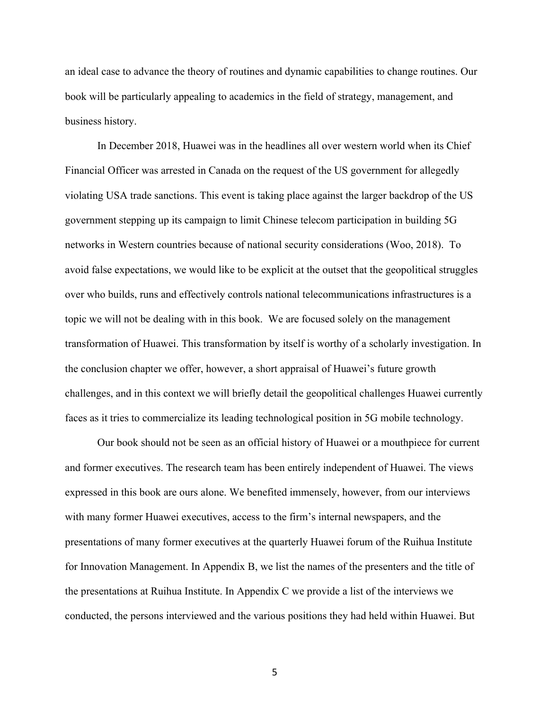an ideal case to advance the theory of routines and dynamic capabilities to change routines. Our book will be particularly appealing to academics in the field of strategy, management, and business history.

In December 2018, Huawei was in the headlines all over western world when its Chief Financial Officer was arrested in Canada on the request of the US government for allegedly violating USA trade sanctions. This event is taking place against the larger backdrop of the US government stepping up its campaign to limit Chinese telecom participation in building 5G networks in Western countries because of national security considerations (Woo, 2018). To avoid false expectations, we would like to be explicit at the outset that the geopolitical struggles over who builds, runs and effectively controls national telecommunications infrastructures is a topic we will not be dealing with in this book. We are focused solely on the management transformation of Huawei. This transformation by itself is worthy of a scholarly investigation. In the conclusion chapter we offer, however, a short appraisal of Huawei's future growth challenges, and in this context we will briefly detail the geopolitical challenges Huawei currently faces as it tries to commercialize its leading technological position in 5G mobile technology.

Our book should not be seen as an official history of Huawei or a mouthpiece for current and former executives. The research team has been entirely independent of Huawei. The views expressed in this book are ours alone. We benefited immensely, however, from our interviews with many former Huawei executives, access to the firm's internal newspapers, and the presentations of many former executives at the quarterly Huawei forum of the Ruihua Institute for Innovation Management. In Appendix B, we list the names of the presenters and the title of the presentations at Ruihua Institute. In Appendix C we provide a list of the interviews we conducted, the persons interviewed and the various positions they had held within Huawei. But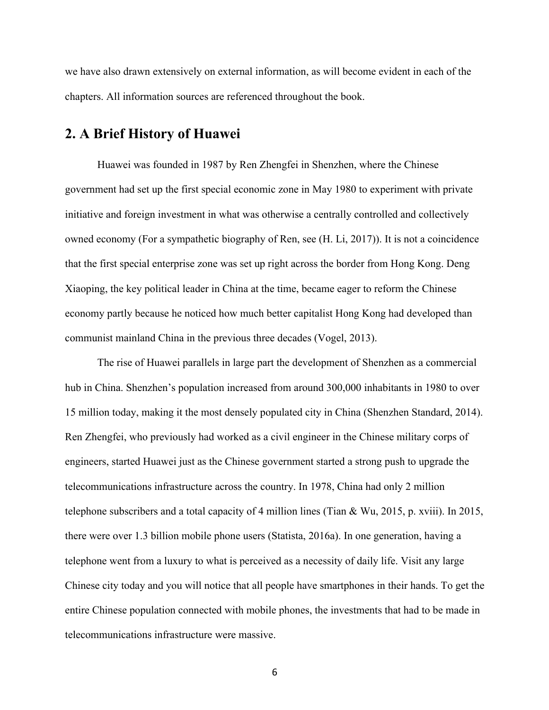we have also drawn extensively on external information, as will become evident in each of the chapters. All information sources are referenced throughout the book.

## **2. A Brief History of Huawei**

Huawei was founded in 1987 by Ren Zhengfei in Shenzhen, where the Chinese government had set up the first special economic zone in May 1980 to experiment with private initiative and foreign investment in what was otherwise a centrally controlled and collectively owned economy (For a sympathetic biography of Ren, see (H. Li, 2017)). It is not a coincidence that the first special enterprise zone was set up right across the border from Hong Kong. Deng Xiaoping, the key political leader in China at the time, became eager to reform the Chinese economy partly because he noticed how much better capitalist Hong Kong had developed than communist mainland China in the previous three decades (Vogel, 2013).

The rise of Huawei parallels in large part the development of Shenzhen as a commercial hub in China. Shenzhen's population increased from around 300,000 inhabitants in 1980 to over 15 million today, making it the most densely populated city in China (Shenzhen Standard, 2014). Ren Zhengfei, who previously had worked as a civil engineer in the Chinese military corps of engineers, started Huawei just as the Chinese government started a strong push to upgrade the telecommunications infrastructure across the country. In 1978, China had only 2 million telephone subscribers and a total capacity of 4 million lines (Tian & Wu, 2015, p. xviii). In 2015, there were over 1.3 billion mobile phone users (Statista, 2016a). In one generation, having a telephone went from a luxury to what is perceived as a necessity of daily life. Visit any large Chinese city today and you will notice that all people have smartphones in their hands. To get the entire Chinese population connected with mobile phones, the investments that had to be made in telecommunications infrastructure were massive.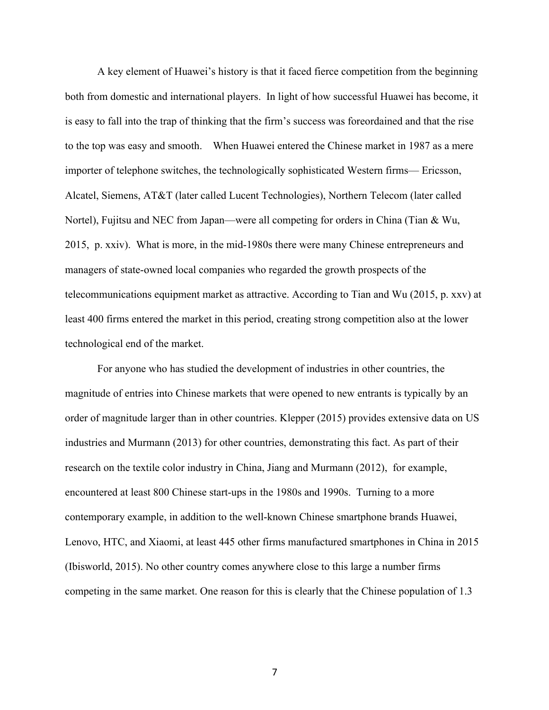A key element of Huawei's history is that it faced fierce competition from the beginning both from domestic and international players. In light of how successful Huawei has become, it is easy to fall into the trap of thinking that the firm's success was foreordained and that the rise to the top was easy and smooth. When Huawei entered the Chinese market in 1987 as a mere importer of telephone switches, the technologically sophisticated Western firms— Ericsson, Alcatel, Siemens, AT&T (later called Lucent Technologies), Northern Telecom (later called Nortel), Fujitsu and NEC from Japan—were all competing for orders in China (Tian & Wu, 2015, p. xxiv). What is more, in the mid-1980s there were many Chinese entrepreneurs and managers of state-owned local companies who regarded the growth prospects of the telecommunications equipment market as attractive. According to Tian and Wu (2015, p. xxv) at least 400 firms entered the market in this period, creating strong competition also at the lower technological end of the market.

For anyone who has studied the development of industries in other countries, the magnitude of entries into Chinese markets that were opened to new entrants is typically by an order of magnitude larger than in other countries. Klepper (2015) provides extensive data on US industries and Murmann (2013) for other countries, demonstrating this fact. As part of their research on the textile color industry in China, Jiang and Murmann (2012), for example, encountered at least 800 Chinese start-ups in the 1980s and 1990s. Turning to a more contemporary example, in addition to the well-known Chinese smartphone brands Huawei, Lenovo, HTC, and Xiaomi, at least 445 other firms manufactured smartphones in China in 2015 (Ibisworld, 2015). No other country comes anywhere close to this large a number firms competing in the same market. One reason for this is clearly that the Chinese population of 1.3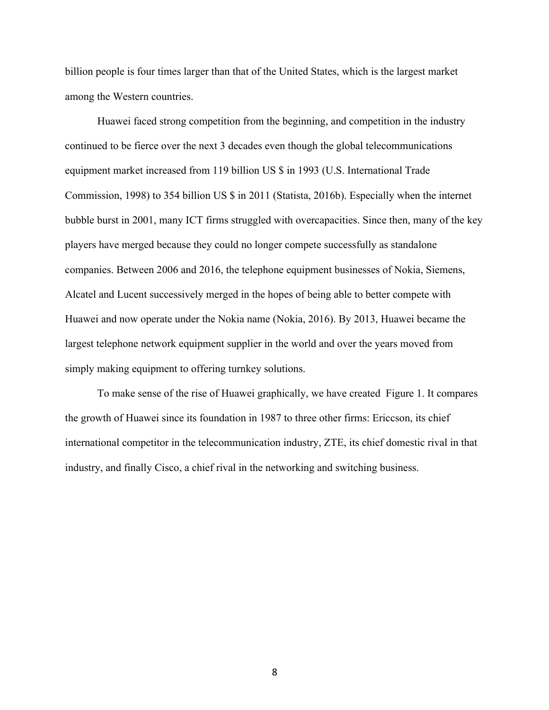billion people is four times larger than that of the United States, which is the largest market among the Western countries.

Huawei faced strong competition from the beginning, and competition in the industry continued to be fierce over the next 3 decades even though the global telecommunications equipment market increased from 119 billion US \$ in 1993 (U.S. International Trade Commission, 1998) to 354 billion US \$ in 2011 (Statista, 2016b). Especially when the internet bubble burst in 2001, many ICT firms struggled with overcapacities. Since then, many of the key players have merged because they could no longer compete successfully as standalone companies. Between 2006 and 2016, the telephone equipment businesses of Nokia, Siemens, Alcatel and Lucent successively merged in the hopes of being able to better compete with Huawei and now operate under the Nokia name (Nokia, 2016). By 2013, Huawei became the largest telephone network equipment supplier in the world and over the years moved from simply making equipment to offering turnkey solutions.

To make sense of the rise of Huawei graphically, we have created Figure 1. It compares the growth of Huawei since its foundation in 1987 to three other firms: Ericcson, its chief international competitor in the telecommunication industry, ZTE, its chief domestic rival in that industry, and finally Cisco, a chief rival in the networking and switching business.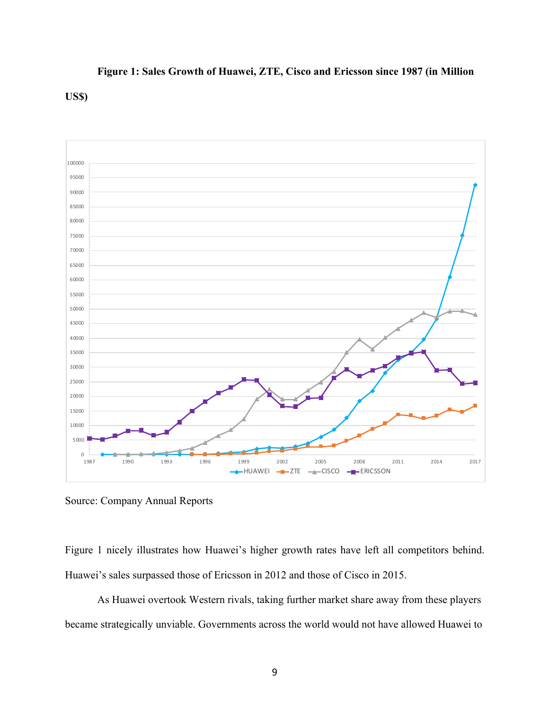# **Figure 1: Sales Growth of Huawei, ZTE, Cisco and Ericsson since 1987 (in Million US\$)**



Source: Company Annual Reports

Figure 1 nicely illustrates how Huawei's higher growth rates have left all competitors behind. Huawei's sales surpassed those of Ericsson in 2012 and those of Cisco in 2015.

As Huawei overtook Western rivals, taking further market share away from these players became strategically unviable. Governments across the world would not have allowed Huawei to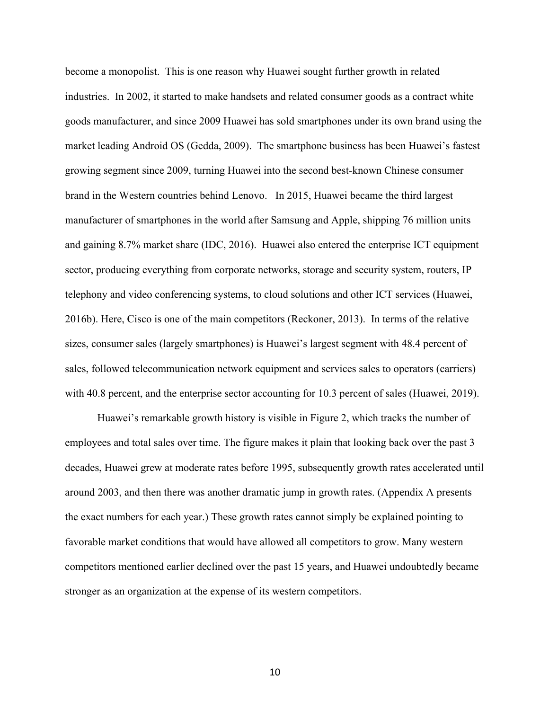become a monopolist. This is one reason why Huawei sought further growth in related industries. In 2002, it started to make handsets and related consumer goods as a contract white goods manufacturer, and since 2009 Huawei has sold smartphones under its own brand using the market leading Android OS (Gedda, 2009). The smartphone business has been Huawei's fastest growing segment since 2009, turning Huawei into the second best-known Chinese consumer brand in the Western countries behind Lenovo. In 2015, Huawei became the third largest manufacturer of smartphones in the world after Samsung and Apple, shipping 76 million units and gaining 8.7% market share (IDC, 2016). Huawei also entered the enterprise ICT equipment sector, producing everything from corporate networks, storage and security system, routers, IP telephony and video conferencing systems, to cloud solutions and other ICT services (Huawei, 2016b). Here, Cisco is one of the main competitors (Reckoner, 2013). In terms of the relative sizes, consumer sales (largely smartphones) is Huawei's largest segment with 48.4 percent of sales, followed telecommunication network equipment and services sales to operators (carriers) with 40.8 percent, and the enterprise sector accounting for 10.3 percent of sales (Huawei, 2019).

Huawei's remarkable growth history is visible in Figure 2, which tracks the number of employees and total sales over time. The figure makes it plain that looking back over the past 3 decades, Huawei grew at moderate rates before 1995, subsequently growth rates accelerated until around 2003, and then there was another dramatic jump in growth rates. (Appendix A presents the exact numbers for each year.) These growth rates cannot simply be explained pointing to favorable market conditions that would have allowed all competitors to grow. Many western competitors mentioned earlier declined over the past 15 years, and Huawei undoubtedly became stronger as an organization at the expense of its western competitors.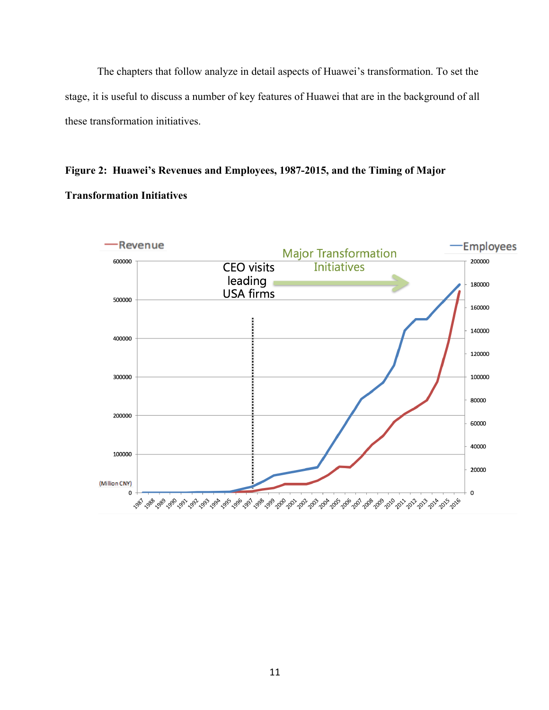The chapters that follow analyze in detail aspects of Huawei's transformation. To set the stage, it is useful to discuss a number of key features of Huawei that are in the background of all these transformation initiatives.

# **Figure 2: Huawei's Revenues and Employees, 1987-2015, and the Timing of Major Transformation Initiatives**

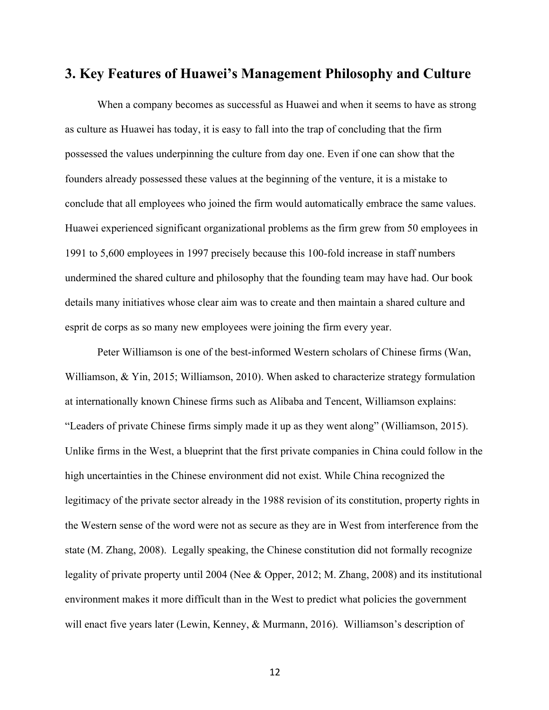### **3. Key Features of Huawei's Management Philosophy and Culture**

When a company becomes as successful as Huawei and when it seems to have as strong as culture as Huawei has today, it is easy to fall into the trap of concluding that the firm possessed the values underpinning the culture from day one. Even if one can show that the founders already possessed these values at the beginning of the venture, it is a mistake to conclude that all employees who joined the firm would automatically embrace the same values. Huawei experienced significant organizational problems as the firm grew from 50 employees in 1991 to 5,600 employees in 1997 precisely because this 100-fold increase in staff numbers undermined the shared culture and philosophy that the founding team may have had. Our book details many initiatives whose clear aim was to create and then maintain a shared culture and esprit de corps as so many new employees were joining the firm every year.

Peter Williamson is one of the best-informed Western scholars of Chinese firms (Wan, Williamson, & Yin, 2015; Williamson, 2010). When asked to characterize strategy formulation at internationally known Chinese firms such as Alibaba and Tencent, Williamson explains: "Leaders of private Chinese firms simply made it up as they went along" (Williamson, 2015). Unlike firms in the West, a blueprint that the first private companies in China could follow in the high uncertainties in the Chinese environment did not exist. While China recognized the legitimacy of the private sector already in the 1988 revision of its constitution, property rights in the Western sense of the word were not as secure as they are in West from interference from the state (M. Zhang, 2008). Legally speaking, the Chinese constitution did not formally recognize legality of private property until 2004 (Nee & Opper, 2012; M. Zhang, 2008) and its institutional environment makes it more difficult than in the West to predict what policies the government will enact five years later (Lewin, Kenney, & Murmann, 2016). Williamson's description of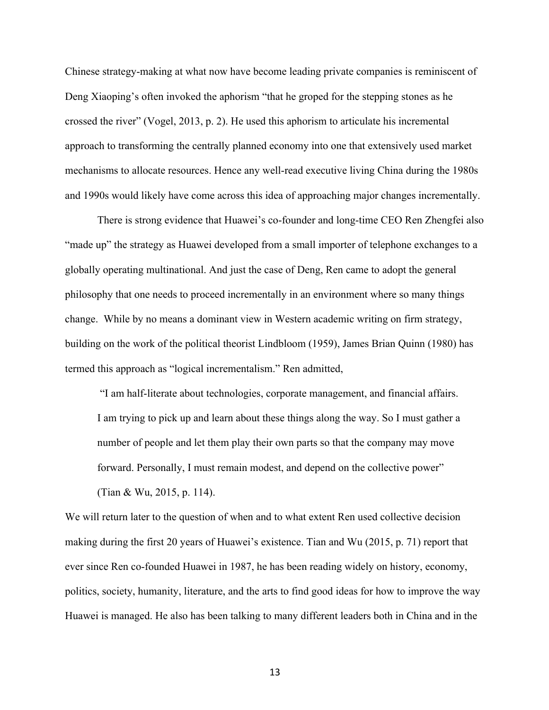Chinese strategy-making at what now have become leading private companies is reminiscent of Deng Xiaoping's often invoked the aphorism "that he groped for the stepping stones as he crossed the river" (Vogel, 2013, p. 2). He used this aphorism to articulate his incremental approach to transforming the centrally planned economy into one that extensively used market mechanisms to allocate resources. Hence any well-read executive living China during the 1980s and 1990s would likely have come across this idea of approaching major changes incrementally.

There is strong evidence that Huawei's co-founder and long-time CEO Ren Zhengfei also "made up" the strategy as Huawei developed from a small importer of telephone exchanges to a globally operating multinational. And just the case of Deng, Ren came to adopt the general philosophy that one needs to proceed incrementally in an environment where so many things change. While by no means a dominant view in Western academic writing on firm strategy, building on the work of the political theorist Lindbloom (1959), James Brian Quinn (1980) has termed this approach as "logical incrementalism." Ren admitted,

"I am half-literate about technologies, corporate management, and financial affairs. I am trying to pick up and learn about these things along the way. So I must gather a number of people and let them play their own parts so that the company may move forward. Personally, I must remain modest, and depend on the collective power" (Tian & Wu, 2015, p. 114).

We will return later to the question of when and to what extent Ren used collective decision making during the first 20 years of Huawei's existence. Tian and Wu (2015, p. 71) report that ever since Ren co-founded Huawei in 1987, he has been reading widely on history, economy, politics, society, humanity, literature, and the arts to find good ideas for how to improve the way Huawei is managed. He also has been talking to many different leaders both in China and in the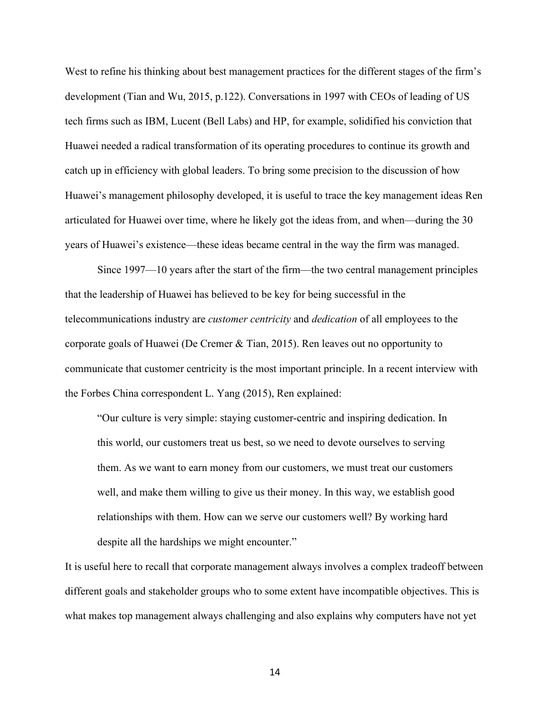West to refine his thinking about best management practices for the different stages of the firm's development (Tian and Wu, 2015, p.122). Conversations in 1997 with CEOs of leading of US tech firms such as IBM, Lucent (Bell Labs) and HP, for example, solidified his conviction that Huawei needed a radical transformation of its operating procedures to continue its growth and catch up in efficiency with global leaders. To bring some precision to the discussion of how Huawei's management philosophy developed, it is useful to trace the key management ideas Ren articulated for Huawei over time, where he likely got the ideas from, and when—during the 30 years of Huawei's existence—these ideas became central in the way the firm was managed.

Since 1997—10 years after the start of the firm—the two central management principles that the leadership of Huawei has believed to be key for being successful in the telecommunications industry are *customer centricity* and *dedication* of all employees to the corporate goals of Huawei (De Cremer & Tian, 2015). Ren leaves out no opportunity to communicate that customer centricity is the most important principle. In a recent interview with the Forbes China correspondent L. Yang (2015), Ren explained:

"Our culture is very simple: staying customer-centric and inspiring dedication. In this world, our customers treat us best, so we need to devote ourselves to serving them. As we want to earn money from our customers, we must treat our customers well, and make them willing to give us their money. In this way, we establish good relationships with them. How can we serve our customers well? By working hard despite all the hardships we might encounter."

It is useful here to recall that corporate management always involves a complex tradeoff between different goals and stakeholder groups who to some extent have incompatible objectives. This is what makes top management always challenging and also explains why computers have not yet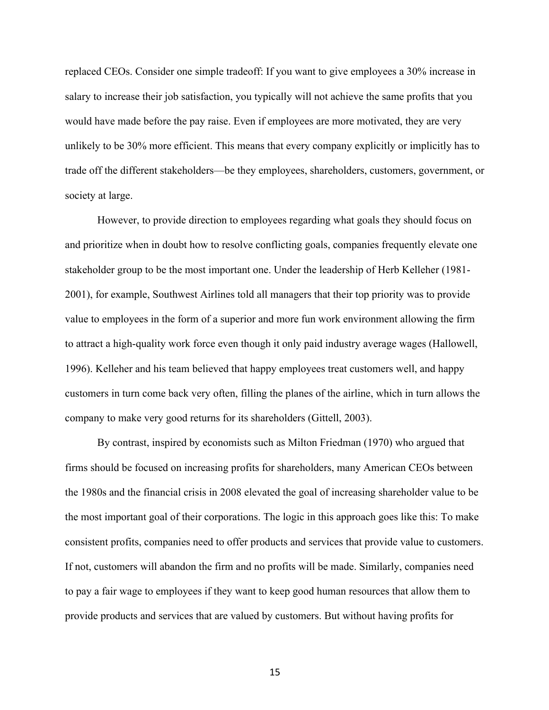replaced CEOs. Consider one simple tradeoff: If you want to give employees a 30% increase in salary to increase their job satisfaction, you typically will not achieve the same profits that you would have made before the pay raise. Even if employees are more motivated, they are very unlikely to be 30% more efficient. This means that every company explicitly or implicitly has to trade off the different stakeholders—be they employees, shareholders, customers, government, or society at large.

However, to provide direction to employees regarding what goals they should focus on and prioritize when in doubt how to resolve conflicting goals, companies frequently elevate one stakeholder group to be the most important one. Under the leadership of Herb Kelleher (1981- 2001), for example, Southwest Airlines told all managers that their top priority was to provide value to employees in the form of a superior and more fun work environment allowing the firm to attract a high-quality work force even though it only paid industry average wages (Hallowell, 1996). Kelleher and his team believed that happy employees treat customers well, and happy customers in turn come back very often, filling the planes of the airline, which in turn allows the company to make very good returns for its shareholders (Gittell, 2003).

By contrast, inspired by economists such as Milton Friedman (1970) who argued that firms should be focused on increasing profits for shareholders, many American CEOs between the 1980s and the financial crisis in 2008 elevated the goal of increasing shareholder value to be the most important goal of their corporations. The logic in this approach goes like this: To make consistent profits, companies need to offer products and services that provide value to customers. If not, customers will abandon the firm and no profits will be made. Similarly, companies need to pay a fair wage to employees if they want to keep good human resources that allow them to provide products and services that are valued by customers. But without having profits for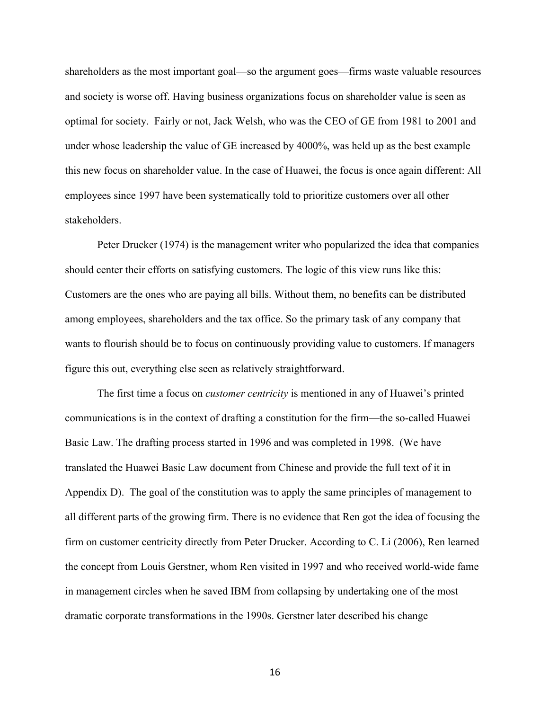shareholders as the most important goal—so the argument goes—firms waste valuable resources and society is worse off. Having business organizations focus on shareholder value is seen as optimal for society. Fairly or not, Jack Welsh, who was the CEO of GE from 1981 to 2001 and under whose leadership the value of GE increased by 4000%, was held up as the best example this new focus on shareholder value. In the case of Huawei, the focus is once again different: All employees since 1997 have been systematically told to prioritize customers over all other stakeholders.

Peter Drucker (1974) is the management writer who popularized the idea that companies should center their efforts on satisfying customers. The logic of this view runs like this: Customers are the ones who are paying all bills. Without them, no benefits can be distributed among employees, shareholders and the tax office. So the primary task of any company that wants to flourish should be to focus on continuously providing value to customers. If managers figure this out, everything else seen as relatively straightforward.

The first time a focus on *customer centricity* is mentioned in any of Huawei's printed communications is in the context of drafting a constitution for the firm—the so-called Huawei Basic Law. The drafting process started in 1996 and was completed in 1998. (We have translated the Huawei Basic Law document from Chinese and provide the full text of it in Appendix D). The goal of the constitution was to apply the same principles of management to all different parts of the growing firm. There is no evidence that Ren got the idea of focusing the firm on customer centricity directly from Peter Drucker. According to C. Li (2006), Ren learned the concept from Louis Gerstner, whom Ren visited in 1997 and who received world-wide fame in management circles when he saved IBM from collapsing by undertaking one of the most dramatic corporate transformations in the 1990s. Gerstner later described his change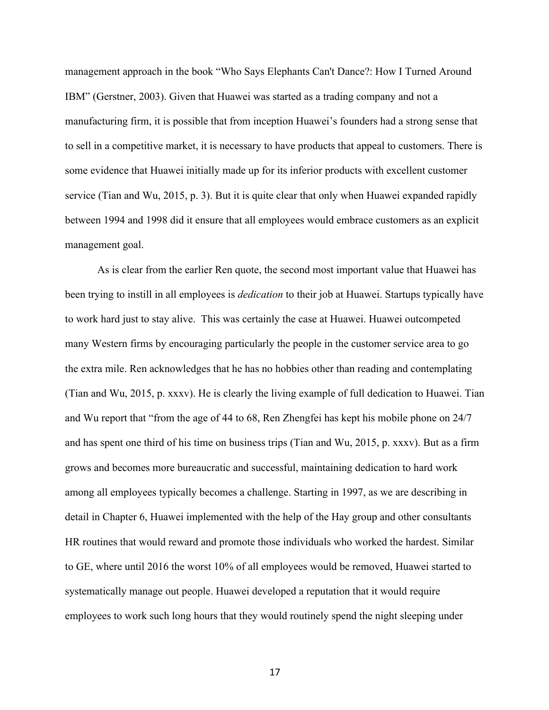management approach in the book "Who Says Elephants Can't Dance?: How I Turned Around IBM" (Gerstner, 2003). Given that Huawei was started as a trading company and not a manufacturing firm, it is possible that from inception Huawei's founders had a strong sense that to sell in a competitive market, it is necessary to have products that appeal to customers. There is some evidence that Huawei initially made up for its inferior products with excellent customer service (Tian and Wu, 2015, p. 3). But it is quite clear that only when Huawei expanded rapidly between 1994 and 1998 did it ensure that all employees would embrace customers as an explicit management goal.

As is clear from the earlier Ren quote, the second most important value that Huawei has been trying to instill in all employees is *dedication* to their job at Huawei. Startups typically have to work hard just to stay alive. This was certainly the case at Huawei. Huawei outcompeted many Western firms by encouraging particularly the people in the customer service area to go the extra mile. Ren acknowledges that he has no hobbies other than reading and contemplating (Tian and Wu, 2015, p. xxxv). He is clearly the living example of full dedication to Huawei. Tian and Wu report that "from the age of 44 to 68, Ren Zhengfei has kept his mobile phone on 24/7 and has spent one third of his time on business trips (Tian and Wu, 2015, p. xxxv). But as a firm grows and becomes more bureaucratic and successful, maintaining dedication to hard work among all employees typically becomes a challenge. Starting in 1997, as we are describing in detail in Chapter 6, Huawei implemented with the help of the Hay group and other consultants HR routines that would reward and promote those individuals who worked the hardest. Similar to GE, where until 2016 the worst 10% of all employees would be removed, Huawei started to systematically manage out people. Huawei developed a reputation that it would require employees to work such long hours that they would routinely spend the night sleeping under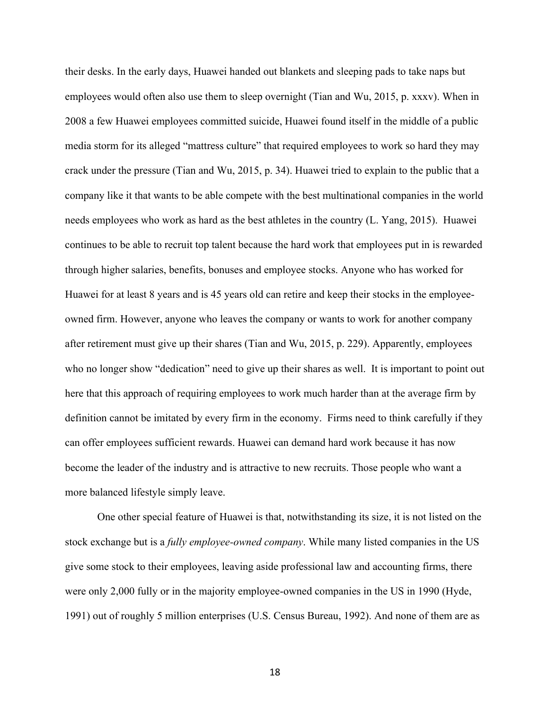their desks. In the early days, Huawei handed out blankets and sleeping pads to take naps but employees would often also use them to sleep overnight (Tian and Wu, 2015, p. xxxv). When in 2008 a few Huawei employees committed suicide, Huawei found itself in the middle of a public media storm for its alleged "mattress culture" that required employees to work so hard they may crack under the pressure (Tian and Wu, 2015, p. 34). Huawei tried to explain to the public that a company like it that wants to be able compete with the best multinational companies in the world needs employees who work as hard as the best athletes in the country (L. Yang, 2015). Huawei continues to be able to recruit top talent because the hard work that employees put in is rewarded through higher salaries, benefits, bonuses and employee stocks. Anyone who has worked for Huawei for at least 8 years and is 45 years old can retire and keep their stocks in the employeeowned firm. However, anyone who leaves the company or wants to work for another company after retirement must give up their shares (Tian and Wu, 2015, p. 229). Apparently, employees who no longer show "dedication" need to give up their shares as well. It is important to point out here that this approach of requiring employees to work much harder than at the average firm by definition cannot be imitated by every firm in the economy. Firms need to think carefully if they can offer employees sufficient rewards. Huawei can demand hard work because it has now become the leader of the industry and is attractive to new recruits. Those people who want a more balanced lifestyle simply leave.

One other special feature of Huawei is that, notwithstanding its size, it is not listed on the stock exchange but is a *fully employee-owned company*. While many listed companies in the US give some stock to their employees, leaving aside professional law and accounting firms, there were only 2,000 fully or in the majority employee-owned companies in the US in 1990 (Hyde, 1991) out of roughly 5 million enterprises (U.S. Census Bureau, 1992). And none of them are as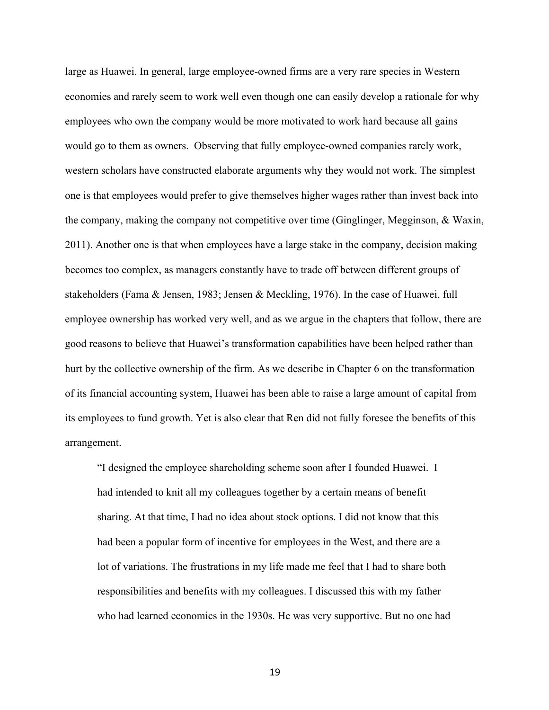large as Huawei. In general, large employee-owned firms are a very rare species in Western economies and rarely seem to work well even though one can easily develop a rationale for why employees who own the company would be more motivated to work hard because all gains would go to them as owners. Observing that fully employee-owned companies rarely work, western scholars have constructed elaborate arguments why they would not work. The simplest one is that employees would prefer to give themselves higher wages rather than invest back into the company, making the company not competitive over time (Ginglinger, Megginson, & Waxin, 2011). Another one is that when employees have a large stake in the company, decision making becomes too complex, as managers constantly have to trade off between different groups of stakeholders (Fama & Jensen, 1983; Jensen & Meckling, 1976). In the case of Huawei, full employee ownership has worked very well, and as we argue in the chapters that follow, there are good reasons to believe that Huawei's transformation capabilities have been helped rather than hurt by the collective ownership of the firm. As we describe in Chapter 6 on the transformation of its financial accounting system, Huawei has been able to raise a large amount of capital from its employees to fund growth. Yet is also clear that Ren did not fully foresee the benefits of this arrangement.

"I designed the employee shareholding scheme soon after I founded Huawei. I had intended to knit all my colleagues together by a certain means of benefit sharing. At that time, I had no idea about stock options. I did not know that this had been a popular form of incentive for employees in the West, and there are a lot of variations. The frustrations in my life made me feel that I had to share both responsibilities and benefits with my colleagues. I discussed this with my father who had learned economics in the 1930s. He was very supportive. But no one had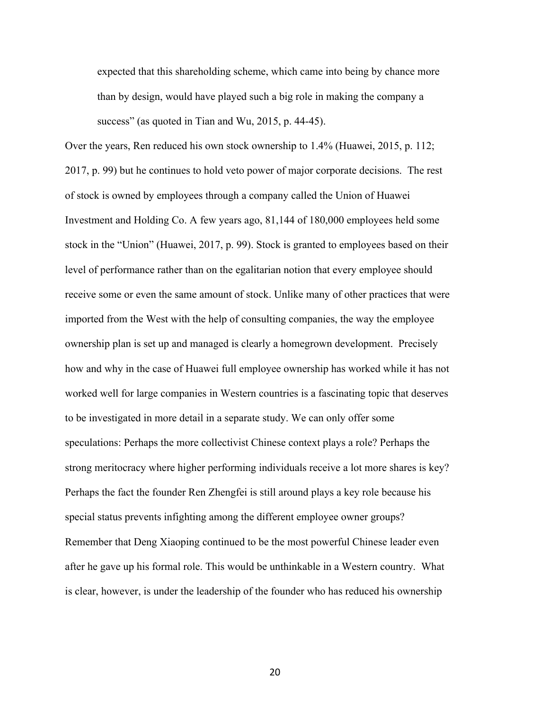expected that this shareholding scheme, which came into being by chance more than by design, would have played such a big role in making the company a success" (as quoted in Tian and Wu, 2015, p. 44-45).

Over the years, Ren reduced his own stock ownership to 1.4% (Huawei, 2015, p. 112; 2017, p. 99) but he continues to hold veto power of major corporate decisions. The rest of stock is owned by employees through a company called the Union of Huawei Investment and Holding Co. A few years ago, 81,144 of 180,000 employees held some stock in the "Union" (Huawei, 2017, p. 99). Stock is granted to employees based on their level of performance rather than on the egalitarian notion that every employee should receive some or even the same amount of stock. Unlike many of other practices that were imported from the West with the help of consulting companies, the way the employee ownership plan is set up and managed is clearly a homegrown development. Precisely how and why in the case of Huawei full employee ownership has worked while it has not worked well for large companies in Western countries is a fascinating topic that deserves to be investigated in more detail in a separate study. We can only offer some speculations: Perhaps the more collectivist Chinese context plays a role? Perhaps the strong meritocracy where higher performing individuals receive a lot more shares is key? Perhaps the fact the founder Ren Zhengfei is still around plays a key role because his special status prevents infighting among the different employee owner groups? Remember that Deng Xiaoping continued to be the most powerful Chinese leader even after he gave up his formal role. This would be unthinkable in a Western country. What is clear, however, is under the leadership of the founder who has reduced his ownership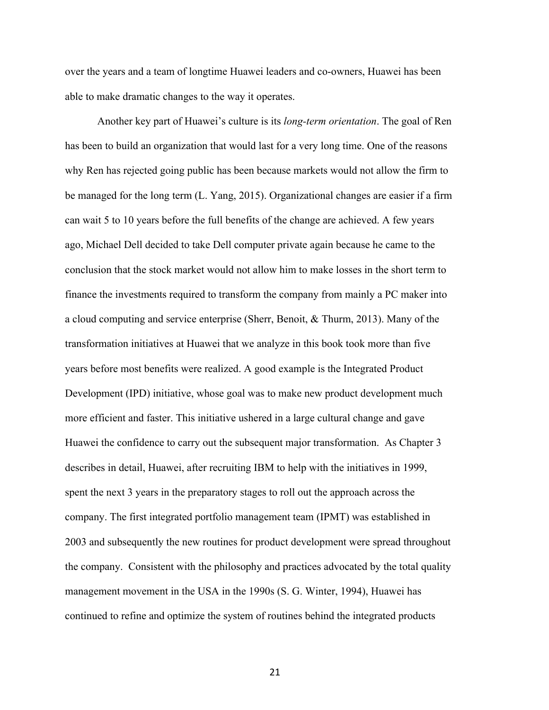over the years and a team of longtime Huawei leaders and co-owners, Huawei has been able to make dramatic changes to the way it operates.

Another key part of Huawei's culture is its *long-term orientation*. The goal of Ren has been to build an organization that would last for a very long time. One of the reasons why Ren has rejected going public has been because markets would not allow the firm to be managed for the long term (L. Yang, 2015). Organizational changes are easier if a firm can wait 5 to 10 years before the full benefits of the change are achieved. A few years ago, Michael Dell decided to take Dell computer private again because he came to the conclusion that the stock market would not allow him to make losses in the short term to finance the investments required to transform the company from mainly a PC maker into a cloud computing and service enterprise (Sherr, Benoit, & Thurm, 2013). Many of the transformation initiatives at Huawei that we analyze in this book took more than five years before most benefits were realized. A good example is the Integrated Product Development (IPD) initiative, whose goal was to make new product development much more efficient and faster. This initiative ushered in a large cultural change and gave Huawei the confidence to carry out the subsequent major transformation. As Chapter 3 describes in detail, Huawei, after recruiting IBM to help with the initiatives in 1999, spent the next 3 years in the preparatory stages to roll out the approach across the company. The first integrated portfolio management team (IPMT) was established in 2003 and subsequently the new routines for product development were spread throughout the company. Consistent with the philosophy and practices advocated by the total quality management movement in the USA in the 1990s (S. G. Winter, 1994), Huawei has continued to refine and optimize the system of routines behind the integrated products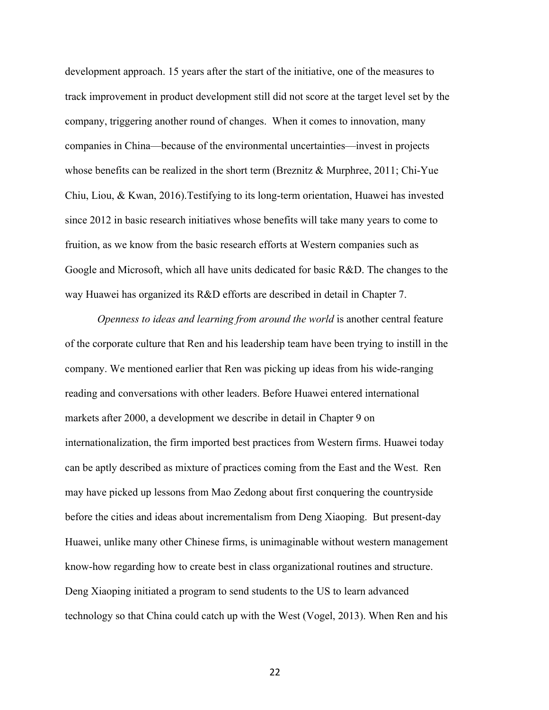development approach. 15 years after the start of the initiative, one of the measures to track improvement in product development still did not score at the target level set by the company, triggering another round of changes. When it comes to innovation, many companies in China—because of the environmental uncertainties—invest in projects whose benefits can be realized in the short term (Breznitz & Murphree, 2011; Chi-Yue Chiu, Liou, & Kwan, 2016).Testifying to its long-term orientation, Huawei has invested since 2012 in basic research initiatives whose benefits will take many years to come to fruition, as we know from the basic research efforts at Western companies such as Google and Microsoft, which all have units dedicated for basic R&D. The changes to the way Huawei has organized its R&D efforts are described in detail in Chapter 7.

*Openness to ideas and learning from around the world* is another central feature of the corporate culture that Ren and his leadership team have been trying to instill in the company. We mentioned earlier that Ren was picking up ideas from his wide-ranging reading and conversations with other leaders. Before Huawei entered international markets after 2000, a development we describe in detail in Chapter 9 on internationalization, the firm imported best practices from Western firms. Huawei today can be aptly described as mixture of practices coming from the East and the West. Ren may have picked up lessons from Mao Zedong about first conquering the countryside before the cities and ideas about incrementalism from Deng Xiaoping. But present-day Huawei, unlike many other Chinese firms, is unimaginable without western management know-how regarding how to create best in class organizational routines and structure. Deng Xiaoping initiated a program to send students to the US to learn advanced technology so that China could catch up with the West (Vogel, 2013). When Ren and his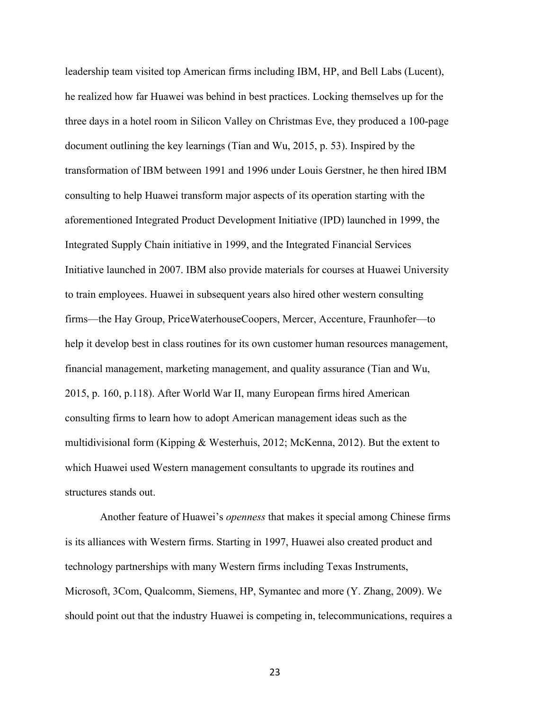leadership team visited top American firms including IBM, HP, and Bell Labs (Lucent), he realized how far Huawei was behind in best practices. Locking themselves up for the three days in a hotel room in Silicon Valley on Christmas Eve, they produced a 100-page document outlining the key learnings (Tian and Wu, 2015, p. 53). Inspired by the transformation of IBM between 1991 and 1996 under Louis Gerstner, he then hired IBM consulting to help Huawei transform major aspects of its operation starting with the aforementioned Integrated Product Development Initiative (IPD) launched in 1999, the Integrated Supply Chain initiative in 1999, and the Integrated Financial Services Initiative launched in 2007. IBM also provide materials for courses at Huawei University to train employees. Huawei in subsequent years also hired other western consulting firms—the Hay Group, PriceWaterhouseCoopers, Mercer, Accenture, Fraunhofer—to help it develop best in class routines for its own customer human resources management, financial management, marketing management, and quality assurance (Tian and Wu, 2015, p. 160, p.118). After World War II, many European firms hired American consulting firms to learn how to adopt American management ideas such as the multidivisional form (Kipping & Westerhuis, 2012; McKenna, 2012). But the extent to which Huawei used Western management consultants to upgrade its routines and structures stands out.

Another feature of Huawei's *openness* that makes it special among Chinese firms is its alliances with Western firms. Starting in 1997, Huawei also created product and technology partnerships with many Western firms including Texas Instruments, Microsoft, 3Com, Qualcomm, Siemens, HP, Symantec and more (Y. Zhang, 2009). We should point out that the industry Huawei is competing in, telecommunications, requires a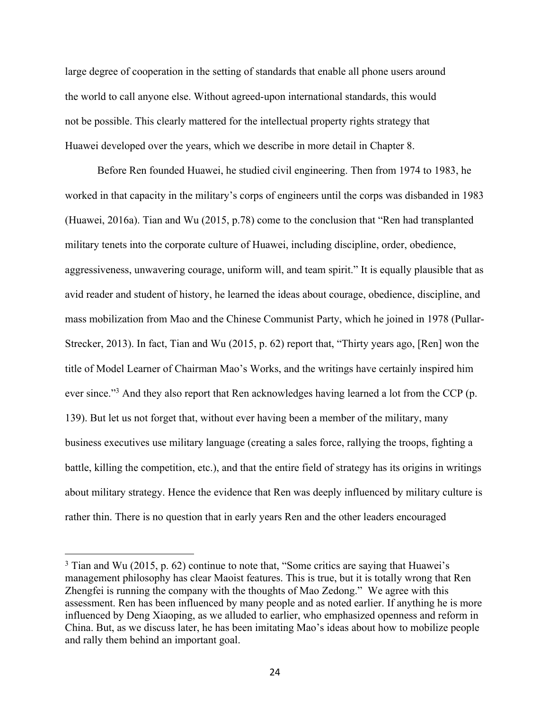large degree of cooperation in the setting of standards that enable all phone users around the world to call anyone else. Without agreed-upon international standards, this would not be possible. This clearly mattered for the intellectual property rights strategy that Huawei developed over the years, which we describe in more detail in Chapter 8.

Before Ren founded Huawei, he studied civil engineering. Then from 1974 to 1983, he worked in that capacity in the military's corps of engineers until the corps was disbanded in 1983 (Huawei, 2016a). Tian and Wu (2015, p.78) come to the conclusion that "Ren had transplanted military tenets into the corporate culture of Huawei, including discipline, order, obedience, aggressiveness, unwavering courage, uniform will, and team spirit." It is equally plausible that as avid reader and student of history, he learned the ideas about courage, obedience, discipline, and mass mobilization from Mao and the Chinese Communist Party, which he joined in 1978 (Pullar-Strecker, 2013). In fact, Tian and Wu (2015, p. 62) report that, "Thirty years ago, [Ren] won the title of Model Learner of Chairman Mao's Works, and the writings have certainly inspired him ever since."<sup>3</sup> And they also report that Ren acknowledges having learned a lot from the CCP (p. 139). But let us not forget that, without ever having been a member of the military, many business executives use military language (creating a sales force, rallying the troops, fighting a battle, killing the competition, etc.), and that the entire field of strategy has its origins in writings about military strategy. Hence the evidence that Ren was deeply influenced by military culture is rather thin. There is no question that in early years Ren and the other leaders encouraged

 $\overline{a}$ 

 $3$  Tian and Wu (2015, p. 62) continue to note that, "Some critics are saying that Huawei's management philosophy has clear Maoist features. This is true, but it is totally wrong that Ren Zhengfei is running the company with the thoughts of Mao Zedong." We agree with this assessment. Ren has been influenced by many people and as noted earlier. If anything he is more influenced by Deng Xiaoping, as we alluded to earlier, who emphasized openness and reform in China. But, as we discuss later, he has been imitating Mao's ideas about how to mobilize people and rally them behind an important goal.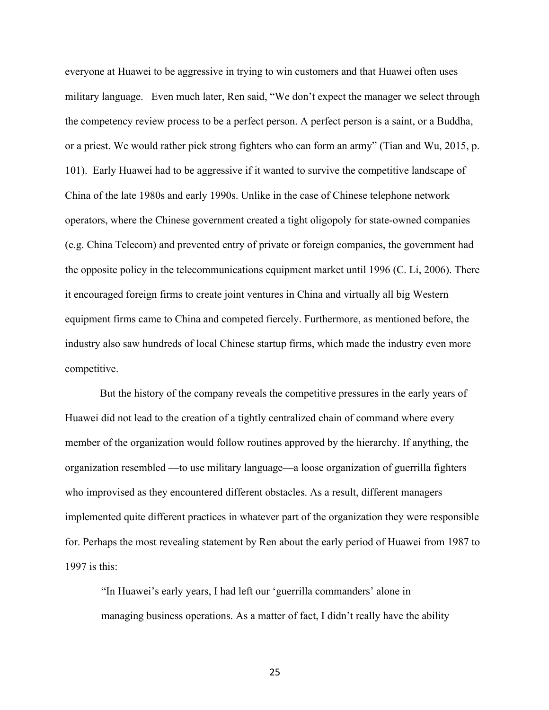everyone at Huawei to be aggressive in trying to win customers and that Huawei often uses military language. Even much later, Ren said, "We don't expect the manager we select through the competency review process to be a perfect person. A perfect person is a saint, or a Buddha, or a priest. We would rather pick strong fighters who can form an army" (Tian and Wu, 2015, p. 101). Early Huawei had to be aggressive if it wanted to survive the competitive landscape of China of the late 1980s and early 1990s. Unlike in the case of Chinese telephone network operators, where the Chinese government created a tight oligopoly for state-owned companies (e.g. China Telecom) and prevented entry of private or foreign companies, the government had the opposite policy in the telecommunications equipment market until 1996 (C. Li, 2006). There it encouraged foreign firms to create joint ventures in China and virtually all big Western equipment firms came to China and competed fiercely. Furthermore, as mentioned before, the industry also saw hundreds of local Chinese startup firms, which made the industry even more competitive.

But the history of the company reveals the competitive pressures in the early years of Huawei did not lead to the creation of a tightly centralized chain of command where every member of the organization would follow routines approved by the hierarchy. If anything, the organization resembled —to use military language—a loose organization of guerrilla fighters who improvised as they encountered different obstacles. As a result, different managers implemented quite different practices in whatever part of the organization they were responsible for. Perhaps the most revealing statement by Ren about the early period of Huawei from 1987 to 1997 is this:

"In Huawei's early years, I had left our 'guerrilla commanders' alone in managing business operations. As a matter of fact, I didn't really have the ability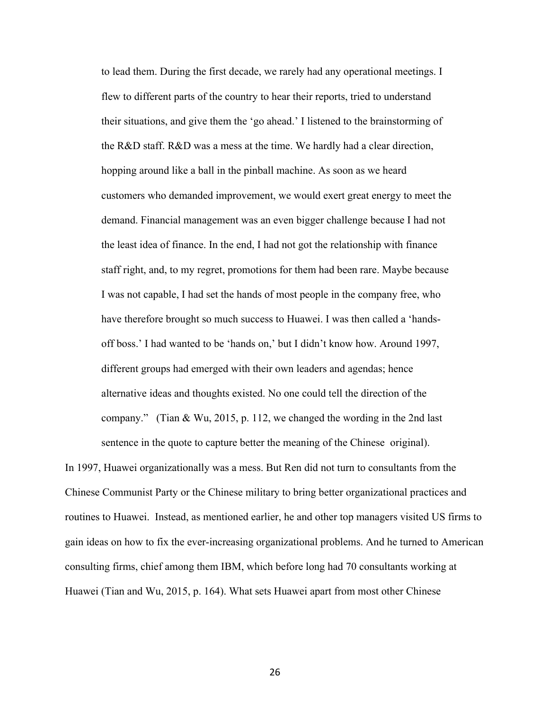to lead them. During the first decade, we rarely had any operational meetings. I flew to different parts of the country to hear their reports, tried to understand their situations, and give them the 'go ahead.' I listened to the brainstorming of the R&D staff. R&D was a mess at the time. We hardly had a clear direction, hopping around like a ball in the pinball machine. As soon as we heard customers who demanded improvement, we would exert great energy to meet the demand. Financial management was an even bigger challenge because I had not the least idea of finance. In the end, I had not got the relationship with finance staff right, and, to my regret, promotions for them had been rare. Maybe because I was not capable, I had set the hands of most people in the company free, who have therefore brought so much success to Huawei. I was then called a 'handsoff boss.' I had wanted to be 'hands on,' but I didn't know how. Around 1997, different groups had emerged with their own leaders and agendas; hence alternative ideas and thoughts existed. No one could tell the direction of the company." (Tian & Wu, 2015, p. 112, we changed the wording in the 2nd last sentence in the quote to capture better the meaning of the Chinese original).

In 1997, Huawei organizationally was a mess. But Ren did not turn to consultants from the Chinese Communist Party or the Chinese military to bring better organizational practices and routines to Huawei. Instead, as mentioned earlier, he and other top managers visited US firms to gain ideas on how to fix the ever-increasing organizational problems. And he turned to American consulting firms, chief among them IBM, which before long had 70 consultants working at Huawei (Tian and Wu, 2015, p. 164). What sets Huawei apart from most other Chinese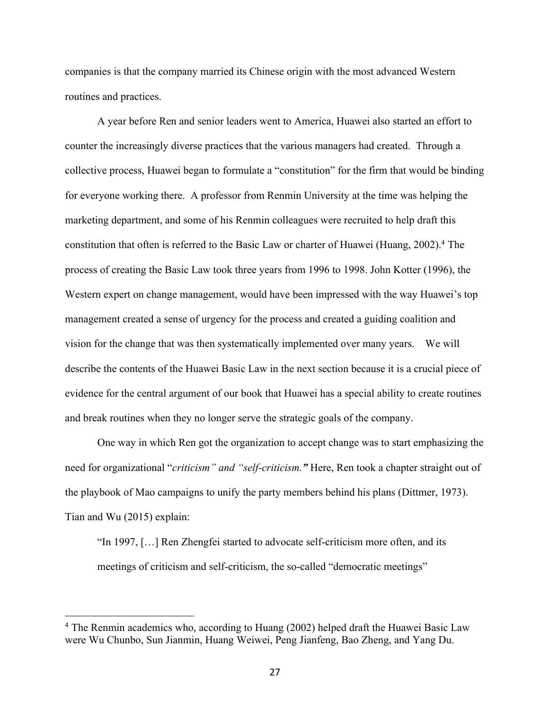companies is that the company married its Chinese origin with the most advanced Western routines and practices.

A year before Ren and senior leaders went to America, Huawei also started an effort to counter the increasingly diverse practices that the various managers had created. Through a collective process, Huawei began to formulate a "constitution" for the firm that would be binding for everyone working there. A professor from Renmin University at the time was helping the marketing department, and some of his Renmin colleagues were recruited to help draft this constitution that often is referred to the Basic Law or charter of Huawei (Huang, 2002). <sup>4</sup> The process of creating the Basic Law took three years from 1996 to 1998. John Kotter (1996), the Western expert on change management, would have been impressed with the way Huawei's top management created a sense of urgency for the process and created a guiding coalition and vision for the change that was then systematically implemented over many years. We will describe the contents of the Huawei Basic Law in the next section because it is a crucial piece of evidence for the central argument of our book that Huawei has a special ability to create routines and break routines when they no longer serve the strategic goals of the company.

One way in which Ren got the organization to accept change was to start emphasizing the need for organizational "*criticism" and "self-criticism."* Here, Ren took a chapter straight out of the playbook of Mao campaigns to unify the party members behind his plans (Dittmer, 1973). Tian and Wu (2015) explain:

"In 1997, […] Ren Zhengfei started to advocate self-criticism more often, and its meetings of criticism and self-criticism, the so-called "democratic meetings"

 $\overline{a}$ 

<sup>&</sup>lt;sup>4</sup> The Renmin academics who, according to Huang (2002) helped draft the Huawei Basic Law were Wu Chunbo, Sun Jianmin, Huang Weiwei, Peng Jianfeng, Bao Zheng, and Yang Du.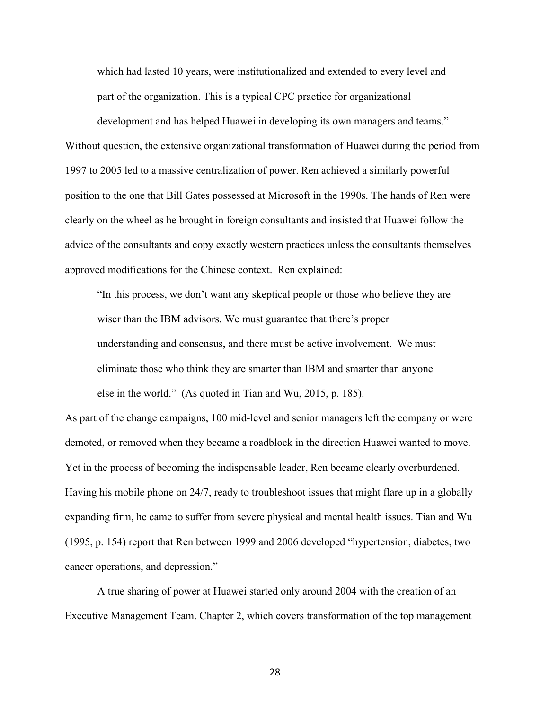which had lasted 10 years, were institutionalized and extended to every level and part of the organization. This is a typical CPC practice for organizational

development and has helped Huawei in developing its own managers and teams." Without question, the extensive organizational transformation of Huawei during the period from 1997 to 2005 led to a massive centralization of power. Ren achieved a similarly powerful position to the one that Bill Gates possessed at Microsoft in the 1990s. The hands of Ren were clearly on the wheel as he brought in foreign consultants and insisted that Huawei follow the advice of the consultants and copy exactly western practices unless the consultants themselves approved modifications for the Chinese context. Ren explained:

"In this process, we don't want any skeptical people or those who believe they are wiser than the IBM advisors. We must guarantee that there's proper understanding and consensus, and there must be active involvement. We must eliminate those who think they are smarter than IBM and smarter than anyone else in the world." (As quoted in Tian and Wu, 2015, p. 185).

As part of the change campaigns, 100 mid-level and senior managers left the company or were demoted, or removed when they became a roadblock in the direction Huawei wanted to move. Yet in the process of becoming the indispensable leader, Ren became clearly overburdened. Having his mobile phone on 24/7, ready to troubleshoot issues that might flare up in a globally expanding firm, he came to suffer from severe physical and mental health issues. Tian and Wu (1995, p. 154) report that Ren between 1999 and 2006 developed "hypertension, diabetes, two cancer operations, and depression."

A true sharing of power at Huawei started only around 2004 with the creation of an Executive Management Team. Chapter 2, which covers transformation of the top management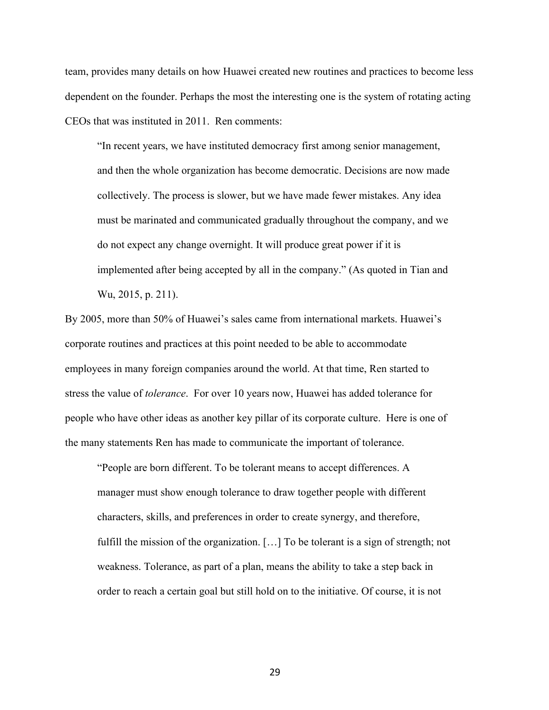team, provides many details on how Huawei created new routines and practices to become less dependent on the founder. Perhaps the most the interesting one is the system of rotating acting CEOs that was instituted in 2011. Ren comments:

"In recent years, we have instituted democracy first among senior management, and then the whole organization has become democratic. Decisions are now made collectively. The process is slower, but we have made fewer mistakes. Any idea must be marinated and communicated gradually throughout the company, and we do not expect any change overnight. It will produce great power if it is implemented after being accepted by all in the company." (As quoted in Tian and Wu, 2015, p. 211).

By 2005, more than 50% of Huawei's sales came from international markets. Huawei's corporate routines and practices at this point needed to be able to accommodate employees in many foreign companies around the world. At that time, Ren started to stress the value of *tolerance*. For over 10 years now, Huawei has added tolerance for people who have other ideas as another key pillar of its corporate culture. Here is one of the many statements Ren has made to communicate the important of tolerance.

"People are born different. To be tolerant means to accept differences. A manager must show enough tolerance to draw together people with different characters, skills, and preferences in order to create synergy, and therefore, fulfill the mission of the organization. […] To be tolerant is a sign of strength; not weakness. Tolerance, as part of a plan, means the ability to take a step back in order to reach a certain goal but still hold on to the initiative. Of course, it is not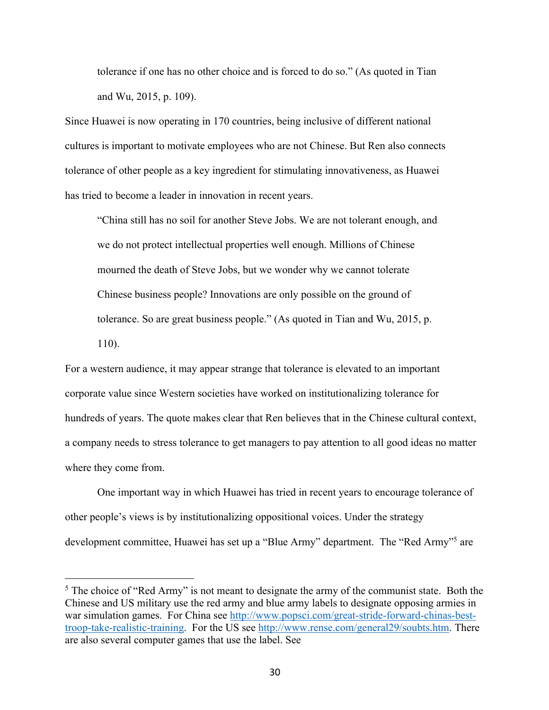tolerance if one has no other choice and is forced to do so." (As quoted in Tian and Wu, 2015, p. 109).

Since Huawei is now operating in 170 countries, being inclusive of different national cultures is important to motivate employees who are not Chinese. But Ren also connects tolerance of other people as a key ingredient for stimulating innovativeness, as Huawei has tried to become a leader in innovation in recent years.

"China still has no soil for another Steve Jobs. We are not tolerant enough, and we do not protect intellectual properties well enough. Millions of Chinese mourned the death of Steve Jobs, but we wonder why we cannot tolerate Chinese business people? Innovations are only possible on the ground of tolerance. So are great business people." (As quoted in Tian and Wu, 2015, p. 110).

For a western audience, it may appear strange that tolerance is elevated to an important corporate value since Western societies have worked on institutionalizing tolerance for hundreds of years. The quote makes clear that Ren believes that in the Chinese cultural context, a company needs to stress tolerance to get managers to pay attention to all good ideas no matter where they come from.

One important way in which Huawei has tried in recent years to encourage tolerance of other people's views is by institutionalizing oppositional voices. Under the strategy development committee, Huawei has set up a "Blue Army" department. The "Red Army"5 are

 $\overline{\phantom{a}}$ 

<sup>&</sup>lt;sup>5</sup> The choice of "Red Army" is not meant to designate the army of the communist state. Both the Chinese and US military use the red army and blue army labels to designate opposing armies in war simulation games. For China see http://www.popsci.com/great-stride-forward-chinas-besttroop-take-realistic-training. For the US see http://www.rense.com/general29/soubts.htm. There are also several computer games that use the label. See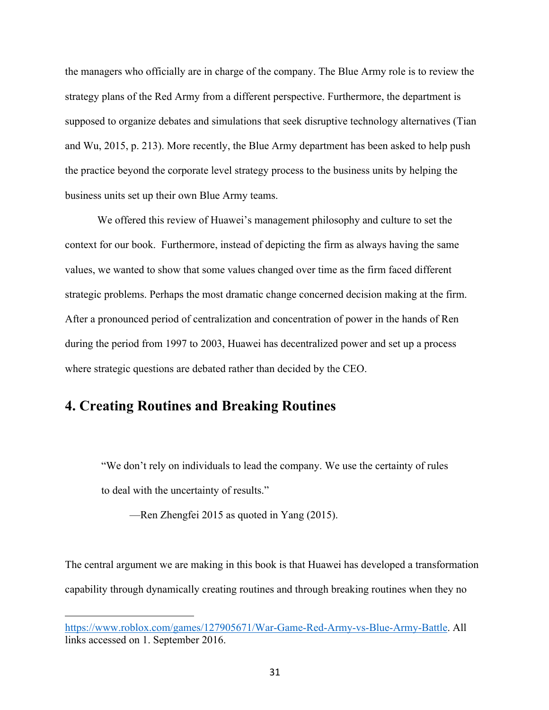the managers who officially are in charge of the company. The Blue Army role is to review the strategy plans of the Red Army from a different perspective. Furthermore, the department is supposed to organize debates and simulations that seek disruptive technology alternatives (Tian and Wu, 2015, p. 213). More recently, the Blue Army department has been asked to help push the practice beyond the corporate level strategy process to the business units by helping the business units set up their own Blue Army teams.

We offered this review of Huawei's management philosophy and culture to set the context for our book. Furthermore, instead of depicting the firm as always having the same values, we wanted to show that some values changed over time as the firm faced different strategic problems. Perhaps the most dramatic change concerned decision making at the firm. After a pronounced period of centralization and concentration of power in the hands of Ren during the period from 1997 to 2003, Huawei has decentralized power and set up a process where strategic questions are debated rather than decided by the CEO.

# **4. Creating Routines and Breaking Routines**

 $\overline{a}$ 

"We don't rely on individuals to lead the company. We use the certainty of rules to deal with the uncertainty of results."

—Ren Zhengfei 2015 as quoted in Yang (2015).

The central argument we are making in this book is that Huawei has developed a transformation capability through dynamically creating routines and through breaking routines when they no

https://www.roblox.com/games/127905671/War-Game-Red-Army-vs-Blue-Army-Battle. All links accessed on 1. September 2016.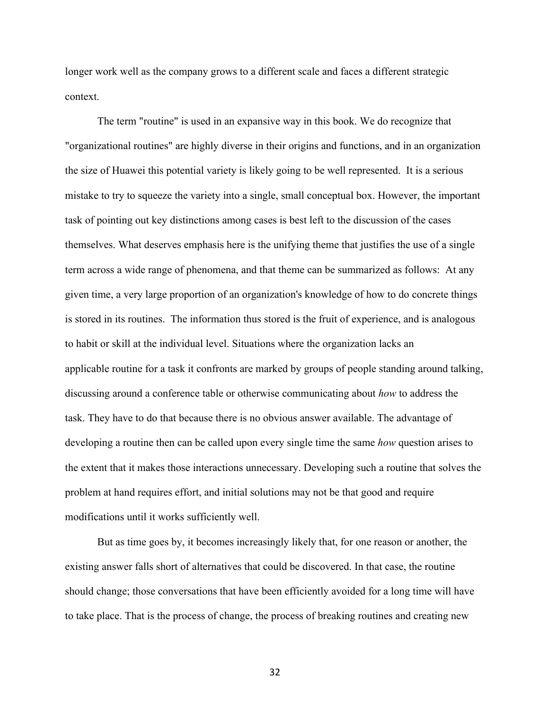longer work well as the company grows to a different scale and faces a different strategic context.

The term "routine" is used in an expansive way in this book. We do recognize that "organizational routines" are highly diverse in their origins and functions, and in an organization the size of Huawei this potential variety is likely going to be well represented. It is a serious mistake to try to squeeze the variety into a single, small conceptual box. However, the important task of pointing out key distinctions among cases is best left to the discussion of the cases themselves. What deserves emphasis here is the unifying theme that justifies the use of a single term across a wide range of phenomena, and that theme can be summarized as follows: At any given time, a very large proportion of an organization's knowledge of how to do concrete things is stored in its routines. The information thus stored is the fruit of experience, and is analogous to habit or skill at the individual level. Situations where the organization lacks an applicable routine for a task it confronts are marked by groups of people standing around talking, discussing around a conference table or otherwise communicating about *how* to address the task. They have to do that because there is no obvious answer available. The advantage of developing a routine then can be called upon every single time the same *how* question arises to the extent that it makes those interactions unnecessary. Developing such a routine that solves the problem at hand requires effort, and initial solutions may not be that good and require modifications until it works sufficiently well.

But as time goes by, it becomes increasingly likely that, for one reason or another, the existing answer falls short of alternatives that could be discovered. In that case, the routine should change; those conversations that have been efficiently avoided for a long time will have to take place. That is the process of change, the process of breaking routines and creating new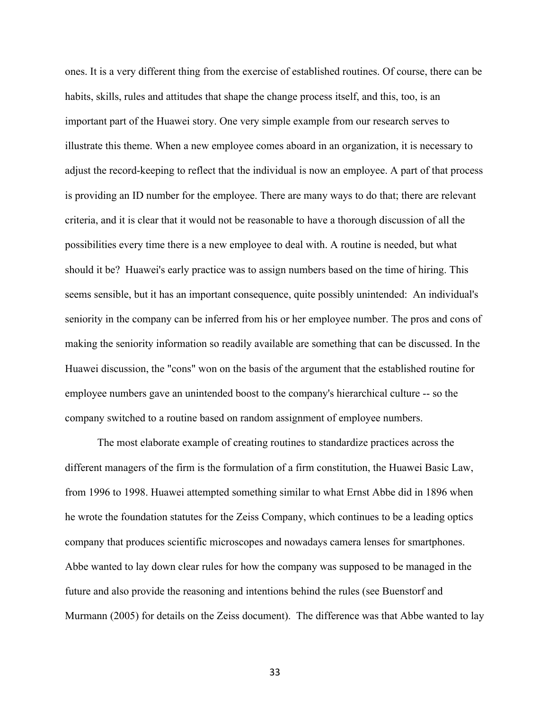ones. It is a very different thing from the exercise of established routines. Of course, there can be habits, skills, rules and attitudes that shape the change process itself, and this, too, is an important part of the Huawei story. One very simple example from our research serves to illustrate this theme. When a new employee comes aboard in an organization, it is necessary to adjust the record-keeping to reflect that the individual is now an employee. A part of that process is providing an ID number for the employee. There are many ways to do that; there are relevant criteria, and it is clear that it would not be reasonable to have a thorough discussion of all the possibilities every time there is a new employee to deal with. A routine is needed, but what should it be? Huawei's early practice was to assign numbers based on the time of hiring. This seems sensible, but it has an important consequence, quite possibly unintended: An individual's seniority in the company can be inferred from his or her employee number. The pros and cons of making the seniority information so readily available are something that can be discussed. In the Huawei discussion, the "cons" won on the basis of the argument that the established routine for employee numbers gave an unintended boost to the company's hierarchical culture -- so the company switched to a routine based on random assignment of employee numbers.

The most elaborate example of creating routines to standardize practices across the different managers of the firm is the formulation of a firm constitution, the Huawei Basic Law, from 1996 to 1998. Huawei attempted something similar to what Ernst Abbe did in 1896 when he wrote the foundation statutes for the Zeiss Company, which continues to be a leading optics company that produces scientific microscopes and nowadays camera lenses for smartphones. Abbe wanted to lay down clear rules for how the company was supposed to be managed in the future and also provide the reasoning and intentions behind the rules (see Buenstorf and Murmann (2005) for details on the Zeiss document). The difference was that Abbe wanted to lay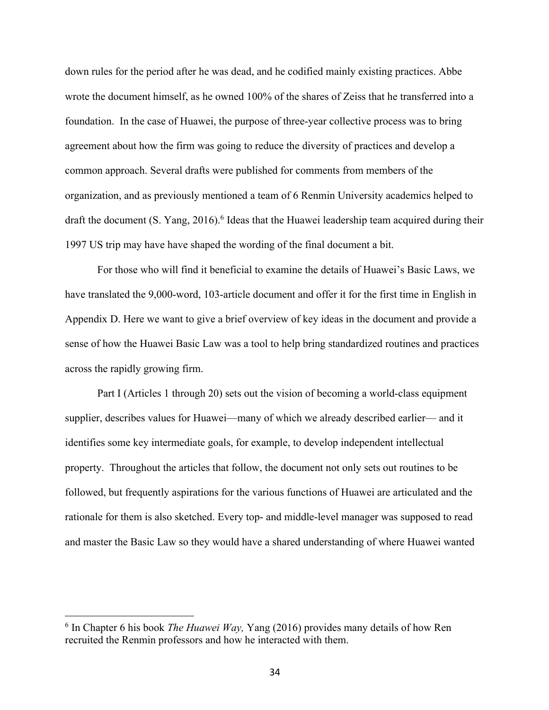down rules for the period after he was dead, and he codified mainly existing practices. Abbe wrote the document himself, as he owned 100% of the shares of Zeiss that he transferred into a foundation. In the case of Huawei, the purpose of three-year collective process was to bring agreement about how the firm was going to reduce the diversity of practices and develop a common approach. Several drafts were published for comments from members of the organization, and as previously mentioned a team of 6 Renmin University academics helped to draft the document (S. Yang, 2016). <sup>6</sup> Ideas that the Huawei leadership team acquired during their 1997 US trip may have have shaped the wording of the final document a bit.

For those who will find it beneficial to examine the details of Huawei's Basic Laws, we have translated the 9,000-word, 103-article document and offer it for the first time in English in Appendix D. Here we want to give a brief overview of key ideas in the document and provide a sense of how the Huawei Basic Law was a tool to help bring standardized routines and practices across the rapidly growing firm.

Part I (Articles 1 through 20) sets out the vision of becoming a world-class equipment supplier, describes values for Huawei—many of which we already described earlier— and it identifies some key intermediate goals, for example, to develop independent intellectual property. Throughout the articles that follow, the document not only sets out routines to be followed, but frequently aspirations for the various functions of Huawei are articulated and the rationale for them is also sketched. Every top- and middle-level manager was supposed to read and master the Basic Law so they would have a shared understanding of where Huawei wanted

 $\overline{a}$ 

<sup>6</sup> In Chapter 6 his book *The Huawei Way,* Yang (2016) provides many details of how Ren recruited the Renmin professors and how he interacted with them.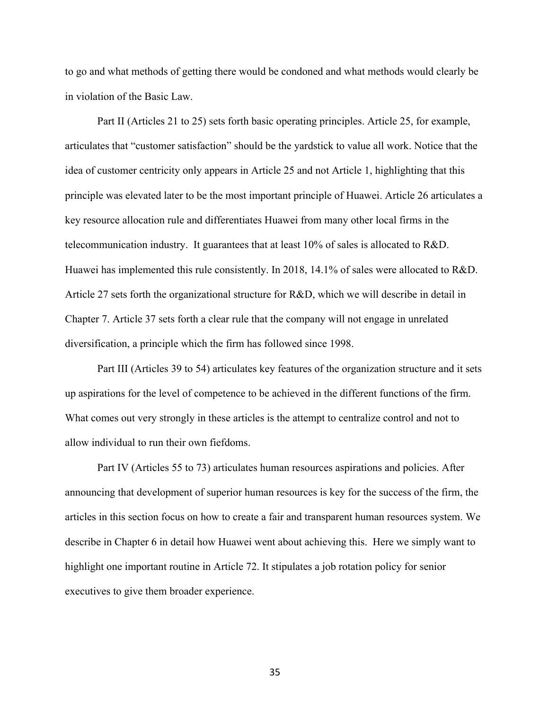to go and what methods of getting there would be condoned and what methods would clearly be in violation of the Basic Law.

Part II (Articles 21 to 25) sets forth basic operating principles. Article 25, for example, articulates that "customer satisfaction" should be the yardstick to value all work. Notice that the idea of customer centricity only appears in Article 25 and not Article 1, highlighting that this principle was elevated later to be the most important principle of Huawei. Article 26 articulates a key resource allocation rule and differentiates Huawei from many other local firms in the telecommunication industry. It guarantees that at least 10% of sales is allocated to R&D. Huawei has implemented this rule consistently. In 2018, 14.1% of sales were allocated to R&D. Article 27 sets forth the organizational structure for R&D, which we will describe in detail in Chapter 7. Article 37 sets forth a clear rule that the company will not engage in unrelated diversification, a principle which the firm has followed since 1998.

Part III (Articles 39 to 54) articulates key features of the organization structure and it sets up aspirations for the level of competence to be achieved in the different functions of the firm. What comes out very strongly in these articles is the attempt to centralize control and not to allow individual to run their own fiefdoms.

Part IV (Articles 55 to 73) articulates human resources aspirations and policies. After announcing that development of superior human resources is key for the success of the firm, the articles in this section focus on how to create a fair and transparent human resources system. We describe in Chapter 6 in detail how Huawei went about achieving this. Here we simply want to highlight one important routine in Article 72. It stipulates a job rotation policy for senior executives to give them broader experience.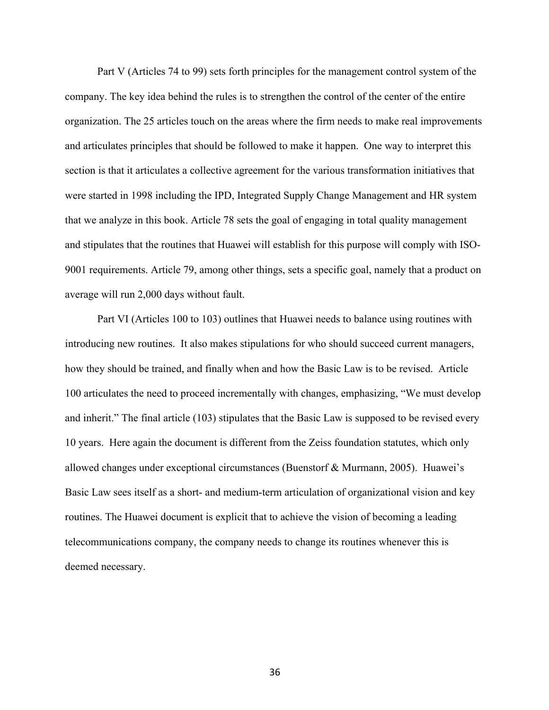Part V (Articles 74 to 99) sets forth principles for the management control system of the company. The key idea behind the rules is to strengthen the control of the center of the entire organization. The 25 articles touch on the areas where the firm needs to make real improvements and articulates principles that should be followed to make it happen. One way to interpret this section is that it articulates a collective agreement for the various transformation initiatives that were started in 1998 including the IPD, Integrated Supply Change Management and HR system that we analyze in this book. Article 78 sets the goal of engaging in total quality management and stipulates that the routines that Huawei will establish for this purpose will comply with ISO-9001 requirements. Article 79, among other things, sets a specific goal, namely that a product on average will run 2,000 days without fault.

Part VI (Articles 100 to 103) outlines that Huawei needs to balance using routines with introducing new routines. It also makes stipulations for who should succeed current managers, how they should be trained, and finally when and how the Basic Law is to be revised. Article 100 articulates the need to proceed incrementally with changes, emphasizing, "We must develop and inherit." The final article (103) stipulates that the Basic Law is supposed to be revised every 10 years. Here again the document is different from the Zeiss foundation statutes, which only allowed changes under exceptional circumstances (Buenstorf & Murmann, 2005). Huawei's Basic Law sees itself as a short- and medium-term articulation of organizational vision and key routines. The Huawei document is explicit that to achieve the vision of becoming a leading telecommunications company, the company needs to change its routines whenever this is deemed necessary.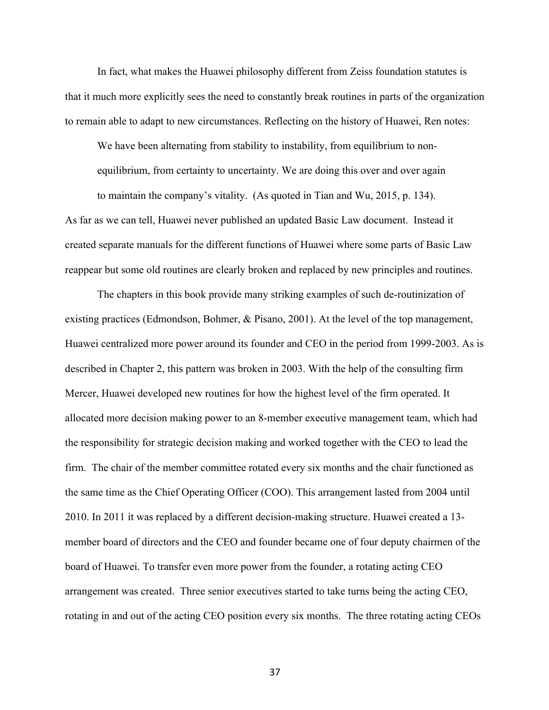In fact, what makes the Huawei philosophy different from Zeiss foundation statutes is that it much more explicitly sees the need to constantly break routines in parts of the organization to remain able to adapt to new circumstances. Reflecting on the history of Huawei, Ren notes:

We have been alternating from stability to instability, from equilibrium to nonequilibrium, from certainty to uncertainty. We are doing this over and over again to maintain the company's vitality. (As quoted in Tian and Wu, 2015, p. 134).

As far as we can tell, Huawei never published an updated Basic Law document. Instead it created separate manuals for the different functions of Huawei where some parts of Basic Law reappear but some old routines are clearly broken and replaced by new principles and routines.

The chapters in this book provide many striking examples of such de-routinization of existing practices (Edmondson, Bohmer, & Pisano, 2001). At the level of the top management, Huawei centralized more power around its founder and CEO in the period from 1999-2003. As is described in Chapter 2, this pattern was broken in 2003. With the help of the consulting firm Mercer, Huawei developed new routines for how the highest level of the firm operated. It allocated more decision making power to an 8-member executive management team, which had the responsibility for strategic decision making and worked together with the CEO to lead the firm. The chair of the member committee rotated every six months and the chair functioned as the same time as the Chief Operating Officer (COO). This arrangement lasted from 2004 until 2010. In 2011 it was replaced by a different decision-making structure. Huawei created a 13 member board of directors and the CEO and founder became one of four deputy chairmen of the board of Huawei. To transfer even more power from the founder, a rotating acting CEO arrangement was created. Three senior executives started to take turns being the acting CEO, rotating in and out of the acting CEO position every six months. The three rotating acting CEOs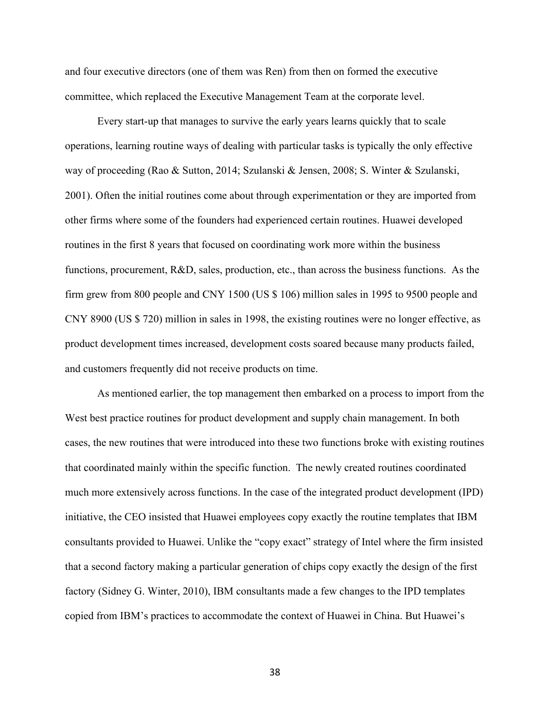and four executive directors (one of them was Ren) from then on formed the executive committee, which replaced the Executive Management Team at the corporate level.

Every start-up that manages to survive the early years learns quickly that to scale operations, learning routine ways of dealing with particular tasks is typically the only effective way of proceeding (Rao & Sutton, 2014; Szulanski & Jensen, 2008; S. Winter & Szulanski, 2001). Often the initial routines come about through experimentation or they are imported from other firms where some of the founders had experienced certain routines. Huawei developed routines in the first 8 years that focused on coordinating work more within the business functions, procurement, R&D, sales, production, etc., than across the business functions. As the firm grew from 800 people and CNY 1500 (US \$ 106) million sales in 1995 to 9500 people and CNY 8900 (US \$ 720) million in sales in 1998, the existing routines were no longer effective, as product development times increased, development costs soared because many products failed, and customers frequently did not receive products on time.

As mentioned earlier, the top management then embarked on a process to import from the West best practice routines for product development and supply chain management. In both cases, the new routines that were introduced into these two functions broke with existing routines that coordinated mainly within the specific function. The newly created routines coordinated much more extensively across functions. In the case of the integrated product development (IPD) initiative, the CEO insisted that Huawei employees copy exactly the routine templates that IBM consultants provided to Huawei. Unlike the "copy exact" strategy of Intel where the firm insisted that a second factory making a particular generation of chips copy exactly the design of the first factory (Sidney G. Winter, 2010), IBM consultants made a few changes to the IPD templates copied from IBM's practices to accommodate the context of Huawei in China. But Huawei's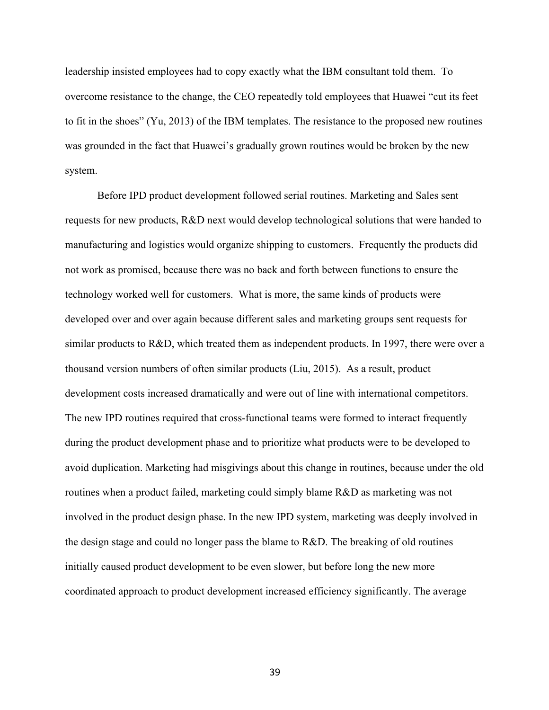leadership insisted employees had to copy exactly what the IBM consultant told them. To overcome resistance to the change, the CEO repeatedly told employees that Huawei "cut its feet to fit in the shoes" (Yu, 2013) of the IBM templates. The resistance to the proposed new routines was grounded in the fact that Huawei's gradually grown routines would be broken by the new system.

Before IPD product development followed serial routines. Marketing and Sales sent requests for new products, R&D next would develop technological solutions that were handed to manufacturing and logistics would organize shipping to customers. Frequently the products did not work as promised, because there was no back and forth between functions to ensure the technology worked well for customers. What is more, the same kinds of products were developed over and over again because different sales and marketing groups sent requests for similar products to R&D, which treated them as independent products. In 1997, there were over a thousand version numbers of often similar products (Liu, 2015). As a result, product development costs increased dramatically and were out of line with international competitors. The new IPD routines required that cross-functional teams were formed to interact frequently during the product development phase and to prioritize what products were to be developed to avoid duplication. Marketing had misgivings about this change in routines, because under the old routines when a product failed, marketing could simply blame R&D as marketing was not involved in the product design phase. In the new IPD system, marketing was deeply involved in the design stage and could no longer pass the blame to R&D. The breaking of old routines initially caused product development to be even slower, but before long the new more coordinated approach to product development increased efficiency significantly. The average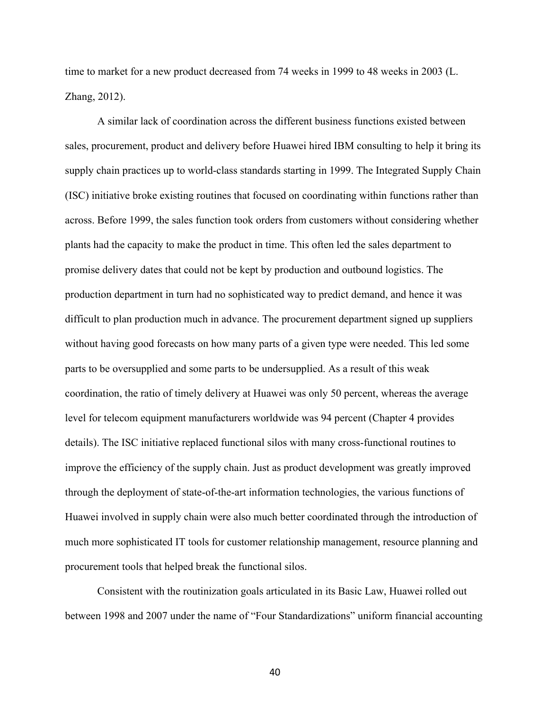time to market for a new product decreased from 74 weeks in 1999 to 48 weeks in 2003 (L. Zhang, 2012).

A similar lack of coordination across the different business functions existed between sales, procurement, product and delivery before Huawei hired IBM consulting to help it bring its supply chain practices up to world-class standards starting in 1999. The Integrated Supply Chain (ISC) initiative broke existing routines that focused on coordinating within functions rather than across. Before 1999, the sales function took orders from customers without considering whether plants had the capacity to make the product in time. This often led the sales department to promise delivery dates that could not be kept by production and outbound logistics. The production department in turn had no sophisticated way to predict demand, and hence it was difficult to plan production much in advance. The procurement department signed up suppliers without having good forecasts on how many parts of a given type were needed. This led some parts to be oversupplied and some parts to be undersupplied. As a result of this weak coordination, the ratio of timely delivery at Huawei was only 50 percent, whereas the average level for telecom equipment manufacturers worldwide was 94 percent (Chapter 4 provides details). The ISC initiative replaced functional silos with many cross-functional routines to improve the efficiency of the supply chain. Just as product development was greatly improved through the deployment of state-of-the-art information technologies, the various functions of Huawei involved in supply chain were also much better coordinated through the introduction of much more sophisticated IT tools for customer relationship management, resource planning and procurement tools that helped break the functional silos.

Consistent with the routinization goals articulated in its Basic Law, Huawei rolled out between 1998 and 2007 under the name of "Four Standardizations" uniform financial accounting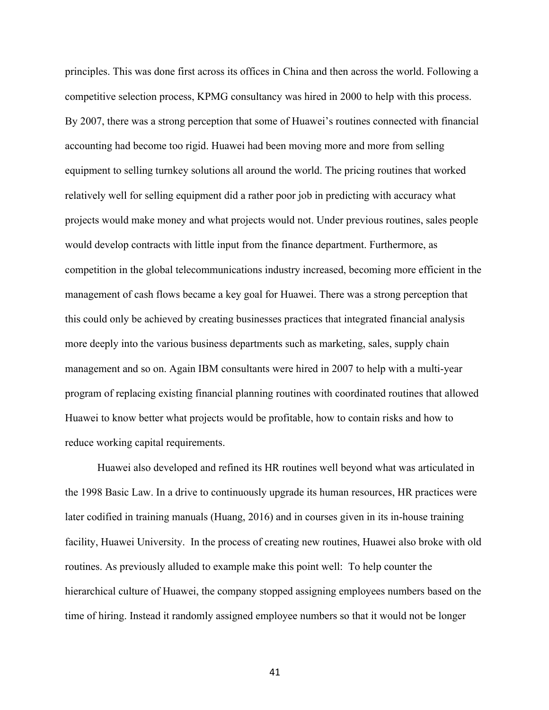principles. This was done first across its offices in China and then across the world. Following a competitive selection process, KPMG consultancy was hired in 2000 to help with this process. By 2007, there was a strong perception that some of Huawei's routines connected with financial accounting had become too rigid. Huawei had been moving more and more from selling equipment to selling turnkey solutions all around the world. The pricing routines that worked relatively well for selling equipment did a rather poor job in predicting with accuracy what projects would make money and what projects would not. Under previous routines, sales people would develop contracts with little input from the finance department. Furthermore, as competition in the global telecommunications industry increased, becoming more efficient in the management of cash flows became a key goal for Huawei. There was a strong perception that this could only be achieved by creating businesses practices that integrated financial analysis more deeply into the various business departments such as marketing, sales, supply chain management and so on. Again IBM consultants were hired in 2007 to help with a multi-year program of replacing existing financial planning routines with coordinated routines that allowed Huawei to know better what projects would be profitable, how to contain risks and how to reduce working capital requirements.

Huawei also developed and refined its HR routines well beyond what was articulated in the 1998 Basic Law. In a drive to continuously upgrade its human resources, HR practices were later codified in training manuals (Huang, 2016) and in courses given in its in-house training facility, Huawei University. In the process of creating new routines, Huawei also broke with old routines. As previously alluded to example make this point well: To help counter the hierarchical culture of Huawei, the company stopped assigning employees numbers based on the time of hiring. Instead it randomly assigned employee numbers so that it would not be longer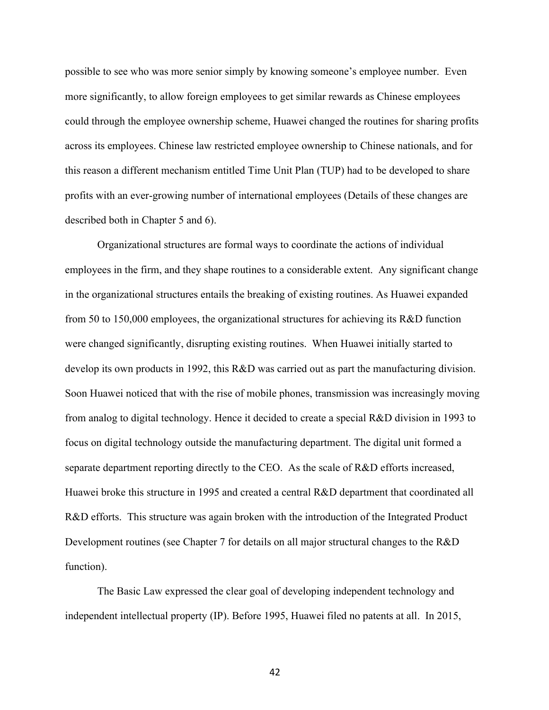possible to see who was more senior simply by knowing someone's employee number. Even more significantly, to allow foreign employees to get similar rewards as Chinese employees could through the employee ownership scheme, Huawei changed the routines for sharing profits across its employees. Chinese law restricted employee ownership to Chinese nationals, and for this reason a different mechanism entitled Time Unit Plan (TUP) had to be developed to share profits with an ever-growing number of international employees (Details of these changes are described both in Chapter 5 and 6).

Organizational structures are formal ways to coordinate the actions of individual employees in the firm, and they shape routines to a considerable extent. Any significant change in the organizational structures entails the breaking of existing routines. As Huawei expanded from 50 to 150,000 employees, the organizational structures for achieving its R&D function were changed significantly, disrupting existing routines. When Huawei initially started to develop its own products in 1992, this R&D was carried out as part the manufacturing division. Soon Huawei noticed that with the rise of mobile phones, transmission was increasingly moving from analog to digital technology. Hence it decided to create a special R&D division in 1993 to focus on digital technology outside the manufacturing department. The digital unit formed a separate department reporting directly to the CEO. As the scale of R&D efforts increased, Huawei broke this structure in 1995 and created a central R&D department that coordinated all R&D efforts. This structure was again broken with the introduction of the Integrated Product Development routines (see Chapter 7 for details on all major structural changes to the R&D function).

The Basic Law expressed the clear goal of developing independent technology and independent intellectual property (IP). Before 1995, Huawei filed no patents at all. In 2015,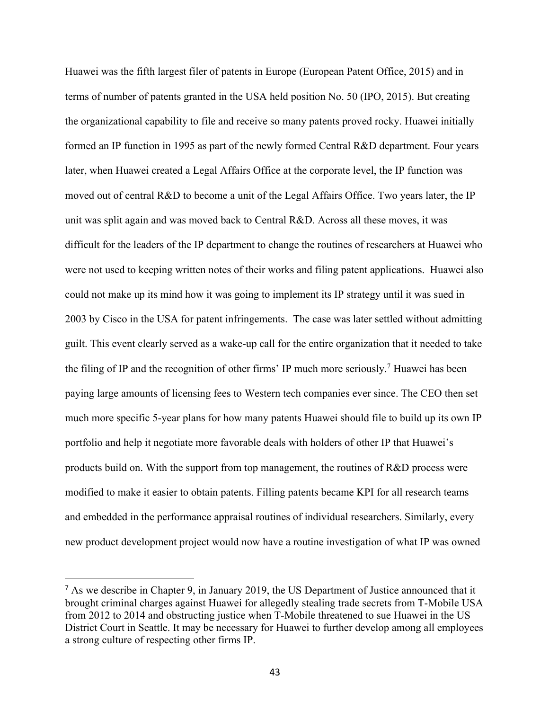Huawei was the fifth largest filer of patents in Europe (European Patent Office, 2015) and in terms of number of patents granted in the USA held position No. 50 (IPO, 2015). But creating the organizational capability to file and receive so many patents proved rocky. Huawei initially formed an IP function in 1995 as part of the newly formed Central R&D department. Four years later, when Huawei created a Legal Affairs Office at the corporate level, the IP function was moved out of central R&D to become a unit of the Legal Affairs Office. Two years later, the IP unit was split again and was moved back to Central R&D. Across all these moves, it was difficult for the leaders of the IP department to change the routines of researchers at Huawei who were not used to keeping written notes of their works and filing patent applications. Huawei also could not make up its mind how it was going to implement its IP strategy until it was sued in 2003 by Cisco in the USA for patent infringements. The case was later settled without admitting guilt. This event clearly served as a wake-up call for the entire organization that it needed to take the filing of IP and the recognition of other firms' IP much more seriously.7 Huawei has been paying large amounts of licensing fees to Western tech companies ever since. The CEO then set much more specific 5-year plans for how many patents Huawei should file to build up its own IP portfolio and help it negotiate more favorable deals with holders of other IP that Huawei's products build on. With the support from top management, the routines of R&D process were modified to make it easier to obtain patents. Filling patents became KPI for all research teams and embedded in the performance appraisal routines of individual researchers. Similarly, every new product development project would now have a routine investigation of what IP was owned

<sup>&</sup>lt;sup>7</sup> As we describe in Chapter 9, in January 2019, the US Department of Justice announced that it brought criminal charges against Huawei for allegedly stealing trade secrets from T-Mobile USA from 2012 to 2014 and obstructing justice when T-Mobile threatened to sue Huawei in the US District Court in Seattle. It may be necessary for Huawei to further develop among all employees a strong culture of respecting other firms IP.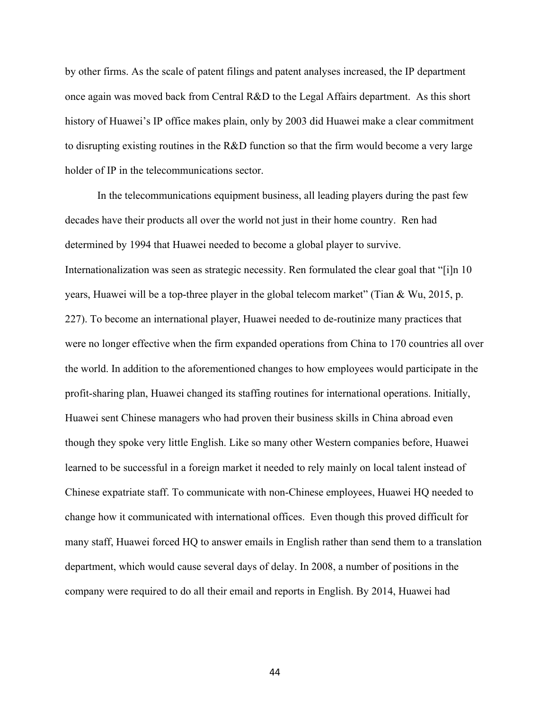by other firms. As the scale of patent filings and patent analyses increased, the IP department once again was moved back from Central R&D to the Legal Affairs department. As this short history of Huawei's IP office makes plain, only by 2003 did Huawei make a clear commitment to disrupting existing routines in the R&D function so that the firm would become a very large holder of IP in the telecommunications sector.

In the telecommunications equipment business, all leading players during the past few decades have their products all over the world not just in their home country. Ren had determined by 1994 that Huawei needed to become a global player to survive. Internationalization was seen as strategic necessity. Ren formulated the clear goal that "[i]n 10 years, Huawei will be a top-three player in the global telecom market" (Tian & Wu, 2015, p. 227). To become an international player, Huawei needed to de-routinize many practices that were no longer effective when the firm expanded operations from China to 170 countries all over the world. In addition to the aforementioned changes to how employees would participate in the profit-sharing plan, Huawei changed its staffing routines for international operations. Initially, Huawei sent Chinese managers who had proven their business skills in China abroad even though they spoke very little English. Like so many other Western companies before, Huawei learned to be successful in a foreign market it needed to rely mainly on local talent instead of Chinese expatriate staff. To communicate with non-Chinese employees, Huawei HQ needed to change how it communicated with international offices. Even though this proved difficult for many staff, Huawei forced HQ to answer emails in English rather than send them to a translation department, which would cause several days of delay. In 2008, a number of positions in the company were required to do all their email and reports in English. By 2014, Huawei had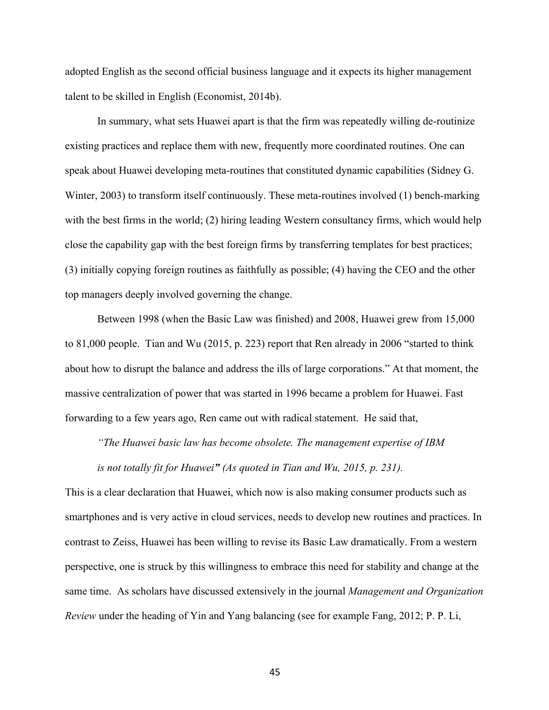adopted English as the second official business language and it expects its higher management talent to be skilled in English (Economist, 2014b).

In summary, what sets Huawei apart is that the firm was repeatedly willing de-routinize existing practices and replace them with new, frequently more coordinated routines. One can speak about Huawei developing meta-routines that constituted dynamic capabilities (Sidney G. Winter, 2003) to transform itself continuously. These meta-routines involved (1) bench-marking with the best firms in the world; (2) hiring leading Western consultancy firms, which would help close the capability gap with the best foreign firms by transferring templates for best practices; (3) initially copying foreign routines as faithfully as possible; (4) having the CEO and the other top managers deeply involved governing the change.

Between 1998 (when the Basic Law was finished) and 2008, Huawei grew from 15,000 to 81,000 people. Tian and Wu (2015, p. 223) report that Ren already in 2006 "started to think about how to disrupt the balance and address the ills of large corporations." At that moment, the massive centralization of power that was started in 1996 became a problem for Huawei. Fast forwarding to a few years ago, Ren came out with radical statement. He said that,

*"The Huawei basic law has become obsolete. The management expertise of IBM is not totally fit for Huawei" (As quoted in Tian and Wu, 2015, p. 231).*

This is a clear declaration that Huawei, which now is also making consumer products such as smartphones and is very active in cloud services, needs to develop new routines and practices. In contrast to Zeiss, Huawei has been willing to revise its Basic Law dramatically. From a western perspective, one is struck by this willingness to embrace this need for stability and change at the same time. As scholars have discussed extensively in the journal *Management and Organization Review* under the heading of Yin and Yang balancing (see for example Fang, 2012; P. P. Li,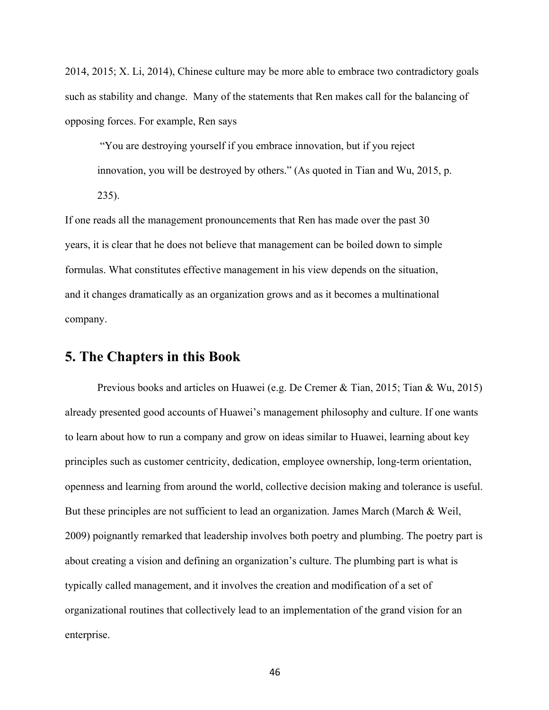2014, 2015; X. Li, 2014), Chinese culture may be more able to embrace two contradictory goals such as stability and change. Many of the statements that Ren makes call for the balancing of opposing forces. For example, Ren says

"You are destroying yourself if you embrace innovation, but if you reject innovation, you will be destroyed by others." (As quoted in Tian and Wu, 2015, p. 235).

If one reads all the management pronouncements that Ren has made over the past 30 years, it is clear that he does not believe that management can be boiled down to simple formulas. What constitutes effective management in his view depends on the situation, and it changes dramatically as an organization grows and as it becomes a multinational company.

### **5. The Chapters in this Book**

Previous books and articles on Huawei (e.g. De Cremer & Tian, 2015; Tian & Wu, 2015) already presented good accounts of Huawei's management philosophy and culture. If one wants to learn about how to run a company and grow on ideas similar to Huawei, learning about key principles such as customer centricity, dedication, employee ownership, long-term orientation, openness and learning from around the world, collective decision making and tolerance is useful. But these principles are not sufficient to lead an organization. James March (March & Weil, 2009) poignantly remarked that leadership involves both poetry and plumbing. The poetry part is about creating a vision and defining an organization's culture. The plumbing part is what is typically called management, and it involves the creation and modification of a set of organizational routines that collectively lead to an implementation of the grand vision for an enterprise.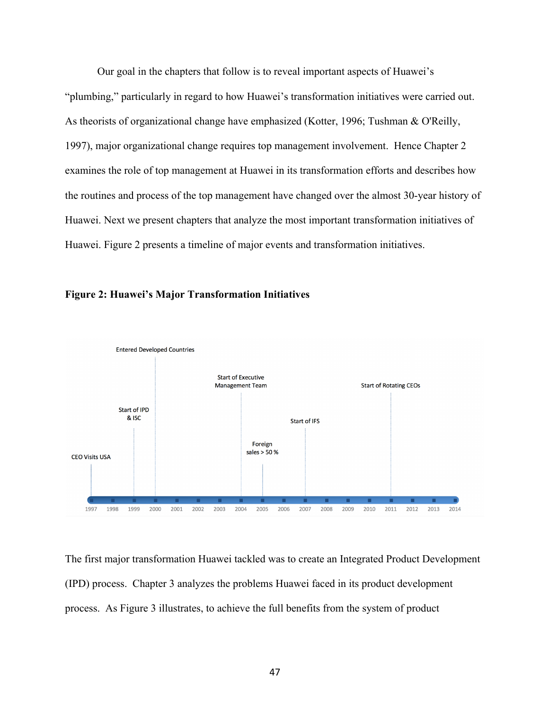Our goal in the chapters that follow is to reveal important aspects of Huawei's "plumbing," particularly in regard to how Huawei's transformation initiatives were carried out. As theorists of organizational change have emphasized (Kotter, 1996; Tushman & O'Reilly, 1997), major organizational change requires top management involvement. Hence Chapter 2 examines the role of top management at Huawei in its transformation efforts and describes how the routines and process of the top management have changed over the almost 30-year history of Huawei. Next we present chapters that analyze the most important transformation initiatives of Huawei. Figure 2 presents a timeline of major events and transformation initiatives.



#### **Figure 2: Huawei's Major Transformation Initiatives**

The first major transformation Huawei tackled was to create an Integrated Product Development (IPD) process. Chapter 3 analyzes the problems Huawei faced in its product development process. As Figure 3 illustrates, to achieve the full benefits from the system of product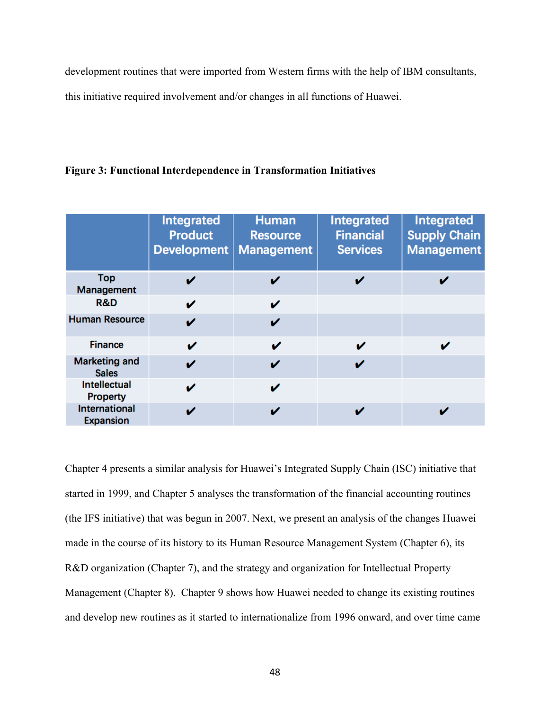development routines that were imported from Western firms with the help of IBM consultants, this initiative required involvement and/or changes in all functions of Huawei.

|                                          | <b>Integrated</b><br><b>Product</b><br><b>Development</b> | <b>Human</b><br><b>Resource</b><br><b>Management</b> | <b>Integrated</b><br><b>Financial</b><br><b>Services</b> | Integrated<br><b>Supply Chain</b><br><b>Management</b> |
|------------------------------------------|-----------------------------------------------------------|------------------------------------------------------|----------------------------------------------------------|--------------------------------------------------------|
| <b>Top</b><br>Management                 | v                                                         |                                                      | v                                                        |                                                        |
| R&D                                      | v                                                         | v                                                    |                                                          |                                                        |
| <b>Human Resource</b>                    |                                                           | v                                                    |                                                          |                                                        |
| <b>Finance</b>                           | V                                                         | V                                                    | V                                                        | v                                                      |
| <b>Marketing and</b><br><b>Sales</b>     |                                                           |                                                      |                                                          |                                                        |
| <b>Intellectual</b><br><b>Property</b>   | v                                                         | v                                                    |                                                          |                                                        |
| <b>International</b><br><b>Expansion</b> |                                                           |                                                      |                                                          |                                                        |

#### **Figure 3: Functional Interdependence in Transformation Initiatives**

Chapter 4 presents a similar analysis for Huawei's Integrated Supply Chain (ISC) initiative that started in 1999, and Chapter 5 analyses the transformation of the financial accounting routines (the IFS initiative) that was begun in 2007. Next, we present an analysis of the changes Huawei made in the course of its history to its Human Resource Management System (Chapter 6), its R&D organization (Chapter 7), and the strategy and organization for Intellectual Property Management (Chapter 8). Chapter 9 shows how Huawei needed to change its existing routines and develop new routines as it started to internationalize from 1996 onward, and over time came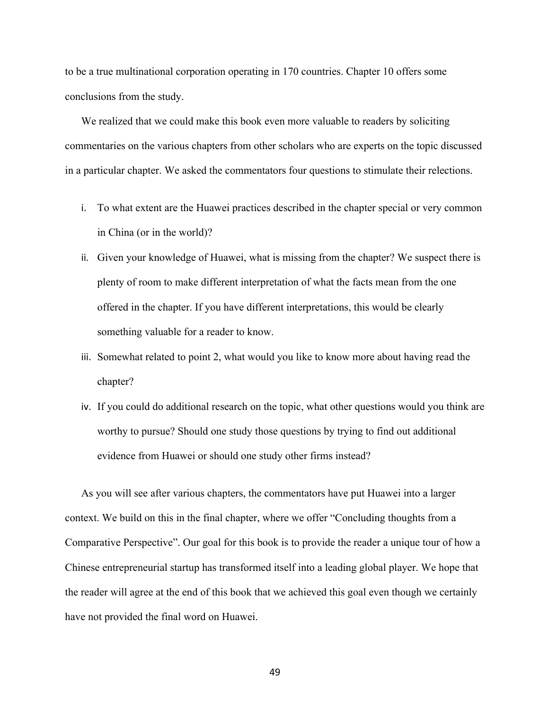to be a true multinational corporation operating in 170 countries. Chapter 10 offers some conclusions from the study.

We realized that we could make this book even more valuable to readers by soliciting commentaries on the various chapters from other scholars who are experts on the topic discussed in a particular chapter. We asked the commentators four questions to stimulate their relections.

- i. To what extent are the Huawei practices described in the chapter special or very common in China (or in the world)?
- ii. Given your knowledge of Huawei, what is missing from the chapter? We suspect there is plenty of room to make different interpretation of what the facts mean from the one offered in the chapter. If you have different interpretations, this would be clearly something valuable for a reader to know.
- iii. Somewhat related to point 2, what would you like to know more about having read the chapter?
- iv. If you could do additional research on the topic, what other questions would you think are worthy to pursue? Should one study those questions by trying to find out additional evidence from Huawei or should one study other firms instead?

As you will see after various chapters, the commentators have put Huawei into a larger context. We build on this in the final chapter, where we offer "Concluding thoughts from a Comparative Perspective". Our goal for this book is to provide the reader a unique tour of how a Chinese entrepreneurial startup has transformed itself into a leading global player. We hope that the reader will agree at the end of this book that we achieved this goal even though we certainly have not provided the final word on Huawei.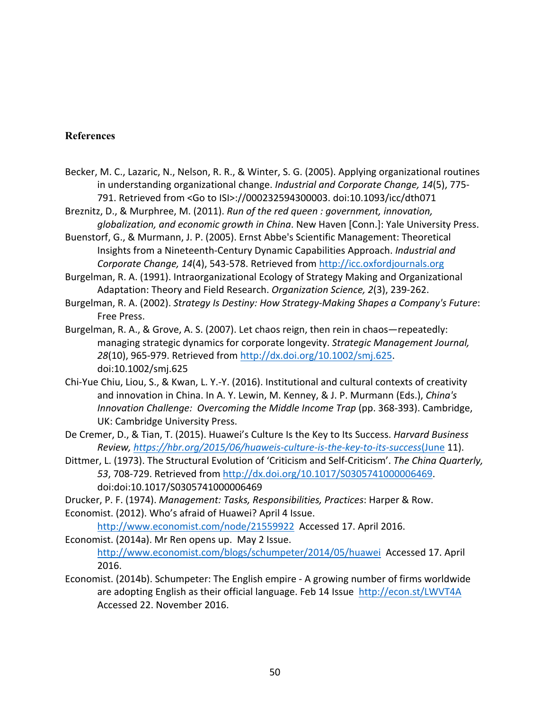### **References**

- Becker, M. C., Lazaric, N., Nelson, R. R., & Winter, S. G. (2005). Applying organizational routines in understanding organizational change. *Industrial and Corporate Change, 14*(5), 775- 791. Retrieved from <Go to ISI>://000232594300003. doi:10.1093/icc/dth071
- Breznitz, D., & Murphree, M. (2011). *Run of the red queen : government, innovation, globalization, and economic growth in China*. New Haven [Conn.]: Yale University Press.
- Buenstorf, G., & Murmann, J. P. (2005). Ernst Abbe's Scientific Management: Theoretical Insights from a Nineteenth-Century Dynamic Capabilities Approach. *Industrial and Corporate Change, 14*(4), 543-578. Retrieved from http://icc.oxfordjournals.org
- Burgelman, R. A. (1991). Intraorganizational Ecology of Strategy Making and Organizational Adaptation: Theory and Field Research. *Organization Science, 2*(3), 239-262.
- Burgelman, R. A. (2002). *Strategy Is Destiny: How Strategy-Making Shapes a Company's Future*: Free Press.
- Burgelman, R. A., & Grove, A. S. (2007). Let chaos reign, then rein in chaos—repeatedly: managing strategic dynamics for corporate longevity. *Strategic Management Journal, 28*(10), 965-979. Retrieved from http://dx.doi.org/10.1002/smj.625. doi:10.1002/smj.625
- Chi-Yue Chiu, Liou, S., & Kwan, L. Y.-Y. (2016). Institutional and cultural contexts of creativity and innovation in China. In A. Y. Lewin, M. Kenney, & J. P. Murmann (Eds.), *China's Innovation Challenge: Overcoming the Middle Income Trap* (pp. 368-393). Cambridge, UK: Cambridge University Press.
- De Cremer, D., & Tian, T. (2015). Huawei's Culture Is the Key to Its Success. *Harvard Business Review, https://hbr.org/2015/06/huaweis-culture-is-the-key-to-its-success*(June 11).
- Dittmer, L. (1973). The Structural Evolution of 'Criticism and Self-Criticism'. *The China Quarterly, 53*, 708-729. Retrieved from http://dx.doi.org/10.1017/S0305741000006469. doi:doi:10.1017/S0305741000006469
- Drucker, P. F. (1974). *Management: Tasks, Responsibilities, Practices*: Harper & Row. Economist. (2012). Who's afraid of Huawei? April 4 Issue.

http://www.economist.com/node/21559922 Accessed 17. April 2016.

- Economist. (2014a). Mr Ren opens up. May 2 Issue. http://www.economist.com/blogs/schumpeter/2014/05/huawei Accessed 17. April 2016.
- Economist. (2014b). Schumpeter: The English empire A growing number of firms worldwide are adopting English as their official language. Feb 14 Issue http://econ.st/LWVT4A Accessed 22. November 2016.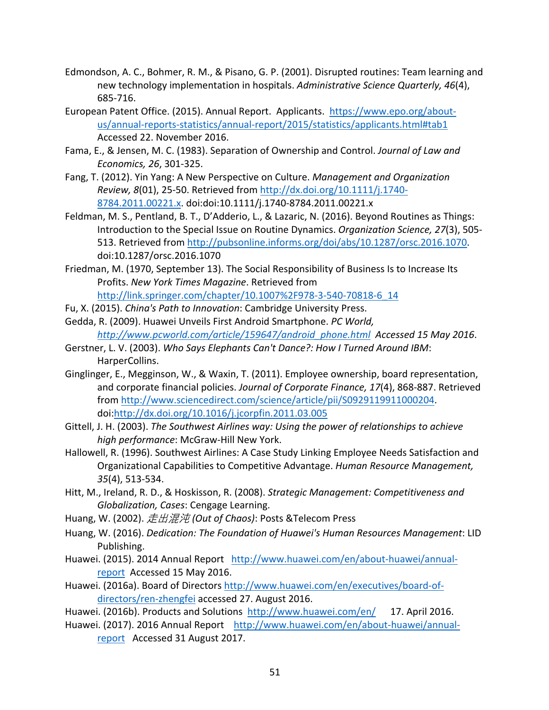- Edmondson, A. C., Bohmer, R. M., & Pisano, G. P. (2001). Disrupted routines: Team learning and new technology implementation in hospitals. *Administrative Science Quarterly, 46*(4), 685-716.
- European Patent Office. (2015). Annual Report. Applicants. https://www.epo.org/aboutus/annual-reports-statistics/annual-report/2015/statistics/applicants.html#tab1 Accessed 22. November 2016.
- Fama, E., & Jensen, M. C. (1983). Separation of Ownership and Control. *Journal of Law and Economics, 26*, 301-325.
- Fang, T. (2012). Yin Yang: A New Perspective on Culture. *Management and Organization Review, 8*(01), 25-50. Retrieved from http://dx.doi.org/10.1111/j.1740- 8784.2011.00221.x. doi:doi:10.1111/j.1740-8784.2011.00221.x
- Feldman, M. S., Pentland, B. T., D'Adderio, L., & Lazaric, N. (2016). Beyond Routines as Things: Introduction to the Special Issue on Routine Dynamics. *Organization Science, 27*(3), 505- 513. Retrieved from http://pubsonline.informs.org/doi/abs/10.1287/orsc.2016.1070. doi:10.1287/orsc.2016.1070
- Friedman, M. (1970, September 13). The Social Responsibility of Business Is to Increase Its Profits. *New York Times Magazine*. Retrieved from http://link.springer.com/chapter/10.1007%2F978-3-540-70818-6\_14
- Fu, X. (2015). *China's Path to Innovation*: Cambridge University Press.
- Gedda, R. (2009). Huawei Unveils First Android Smartphone. *PC World, http://www.pcworld.com/article/159647/android\_phone.html Accessed 15 May 2016*.
- Gerstner, L. V. (2003). *Who Says Elephants Can't Dance?: How I Turned Around IBM*: HarperCollins.
- Ginglinger, E., Megginson, W., & Waxin, T. (2011). Employee ownership, board representation, and corporate financial policies. *Journal of Corporate Finance, 17*(4), 868-887. Retrieved from http://www.sciencedirect.com/science/article/pii/S0929119911000204. doi:http://dx.doi.org/10.1016/j.jcorpfin.2011.03.005
- Gittell, J. H. (2003). *The Southwest Airlines way: Using the power of relationships to achieve high performance*: McGraw-Hill New York.
- Hallowell, R. (1996). Southwest Airlines: A Case Study Linking Employee Needs Satisfaction and Organizational Capabilities to Competitive Advantage. *Human Resource Management, 35*(4), 513-534.
- Hitt, M., Ireland, R. D., & Hoskisson, R. (2008). *Strategic Management: Competitiveness and Globalization, Cases*: Cengage Learning.
- Huang, W. (2002). 走出混沌 *(Out of Chaos)*: Posts &Telecom Press
- Huang, W. (2016). *Dedication: The Foundation of Huawei's Human Resources Management*: LID Publishing.
- Huawei. (2015). 2014 Annual Report http://www.huawei.com/en/about-huawei/annualreport Accessed 15 May 2016.
- Huawei. (2016a). Board of Directors http://www.huawei.com/en/executives/board-ofdirectors/ren-zhengfei accessed 27. August 2016.
- Huawei. (2016b). Products and Solutions http://www.huawei.com/en/ 17. April 2016.
- Huawei. (2017). 2016 Annual Report http://www.huawei.com/en/about-huawei/annualreport Accessed 31 August 2017.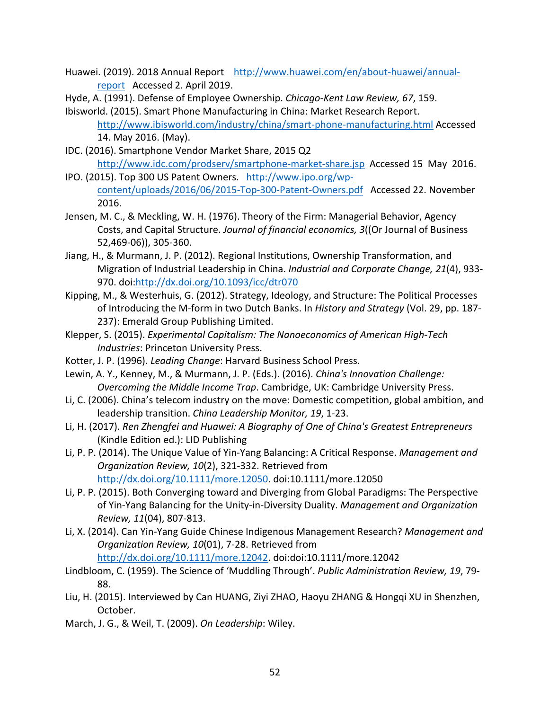- Huawei. (2019). 2018 Annual Report http://www.huawei.com/en/about-huawei/annualreport Accessed 2. April 2019.
- Hyde, A. (1991). Defense of Employee Ownership. *Chicago-Kent Law Review, 67*, 159.
- Ibisworld. (2015). Smart Phone Manufacturing in China: Market Research Report. http://www.ibisworld.com/industry/china/smart-phone-manufacturing.html Accessed 14. May 2016. (May).
- IDC. (2016). Smartphone Vendor Market Share, 2015 Q2 http://www.idc.com/prodserv/smartphone-market-share.jsp Accessed 15 May 2016.
- IPO. (2015). Top 300 US Patent Owners. http://www.ipo.org/wpcontent/uploads/2016/06/2015-Top-300-Patent-Owners.pdf Accessed 22. November 2016.
- Jensen, M. C., & Meckling, W. H. (1976). Theory of the Firm: Managerial Behavior, Agency Costs, and Capital Structure. *Journal of financial economics, 3*((Or Journal of Business 52,469-06)), 305-360.
- Jiang, H., & Murmann, J. P. (2012). Regional Institutions, Ownership Transformation, and Migration of Industrial Leadership in China. *Industrial and Corporate Change, 21*(4), 933- 970. doi:http://dx.doi.org/10.1093/icc/dtr070
- Kipping, M., & Westerhuis, G. (2012). Strategy, Ideology, and Structure: The Political Processes of Introducing the M-form in two Dutch Banks. In *History and Strategy* (Vol. 29, pp. 187- 237): Emerald Group Publishing Limited.
- Klepper, S. (2015). *Experimental Capitalism: The Nanoeconomics of American High-Tech Industries*: Princeton University Press.
- Kotter, J. P. (1996). *Leading Change*: Harvard Business School Press.
- Lewin, A. Y., Kenney, M., & Murmann, J. P. (Eds.). (2016). *China's Innovation Challenge: Overcoming the Middle Income Trap*. Cambridge, UK: Cambridge University Press.
- Li, C. (2006). China's telecom industry on the move: Domestic competition, global ambition, and leadership transition. *China Leadership Monitor, 19*, 1-23.
- Li, H. (2017). *Ren Zhengfei and Huawei: A Biography of One of China's Greatest Entrepreneurs*  (Kindle Edition ed.): LID Publishing
- Li, P. P. (2014). The Unique Value of Yin-Yang Balancing: A Critical Response. *Management and Organization Review, 10*(2), 321-332. Retrieved from http://dx.doi.org/10.1111/more.12050. doi:10.1111/more.12050
- Li, P. P. (2015). Both Converging toward and Diverging from Global Paradigms: The Perspective of Yin-Yang Balancing for the Unity-in-Diversity Duality. *Management and Organization Review, 11*(04), 807-813.
- Li, X. (2014). Can Yin-Yang Guide Chinese Indigenous Management Research? *Management and Organization Review, 10*(01), 7-28. Retrieved from

http://dx.doi.org/10.1111/more.12042. doi:doi:10.1111/more.12042

- Lindbloom, C. (1959). The Science of 'Muddling Through'. *Public Administration Review, 19*, 79- 88.
- Liu, H. (2015). Interviewed by Can HUANG, Ziyi ZHAO, Haoyu ZHANG & Hongqi XU in Shenzhen, October.
- March, J. G., & Weil, T. (2009). *On Leadership*: Wiley.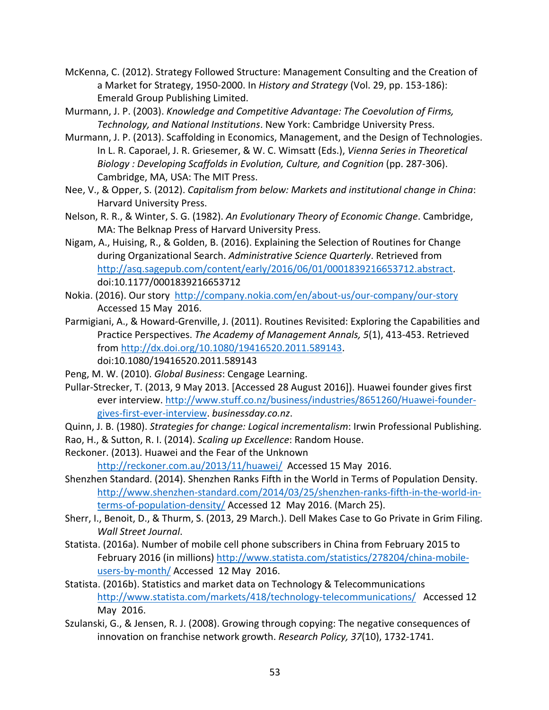- McKenna, C. (2012). Strategy Followed Structure: Management Consulting and the Creation of a Market for Strategy, 1950-2000. In *History and Strategy* (Vol. 29, pp. 153-186): Emerald Group Publishing Limited.
- Murmann, J. P. (2003). *Knowledge and Competitive Advantage: The Coevolution of Firms, Technology, and National Institutions*. New York: Cambridge University Press.
- Murmann, J. P. (2013). Scaffolding in Economics, Management, and the Design of Technologies. In L. R. Caporael, J. R. Griesemer, & W. C. Wimsatt (Eds.), *Vienna Series in Theoretical Biology : Developing Scaffolds in Evolution, Culture, and Cognition* (pp. 287-306). Cambridge, MA, USA: The MIT Press.
- Nee, V., & Opper, S. (2012). *Capitalism from below: Markets and institutional change in China*: Harvard University Press.
- Nelson, R. R., & Winter, S. G. (1982). *An Evolutionary Theory of Economic Change*. Cambridge, MA: The Belknap Press of Harvard University Press.
- Nigam, A., Huising, R., & Golden, B. (2016). Explaining the Selection of Routines for Change during Organizational Search. *Administrative Science Quarterly*. Retrieved from http://asq.sagepub.com/content/early/2016/06/01/0001839216653712.abstract. doi:10.1177/0001839216653712
- Nokia. (2016). Our story http://company.nokia.com/en/about-us/our-company/our-story Accessed 15 May 2016.
- Parmigiani, A., & Howard-Grenville, J. (2011). Routines Revisited: Exploring the Capabilities and Practice Perspectives. *The Academy of Management Annals, 5*(1), 413-453. Retrieved from http://dx.doi.org/10.1080/19416520.2011.589143. doi:10.1080/19416520.2011.589143
- Peng, M. W. (2010). *Global Business*: Cengage Learning.
- Pullar-Strecker, T. (2013, 9 May 2013. [Accessed 28 August 2016]). Huawei founder gives first ever interview. http://www.stuff.co.nz/business/industries/8651260/Huawei-foundergives-first-ever-interview. *businessday.co.nz*.
- Quinn, J. B. (1980). *Strategies for change: Logical incrementalism*: Irwin Professional Publishing.
- Rao, H., & Sutton, R. I. (2014). *Scaling up Excellence*: Random House.
- Reckoner. (2013). Huawei and the Fear of the Unknown http://reckoner.com.au/2013/11/huawei/ Accessed 15 May 2016.
- Shenzhen Standard. (2014). Shenzhen Ranks Fifth in the World in Terms of Population Density. http://www.shenzhen-standard.com/2014/03/25/shenzhen-ranks-fifth-in-the-world-interms-of-population-density/ Accessed 12 May 2016. (March 25).
- Sherr, I., Benoit, D., & Thurm, S. (2013, 29 March.). Dell Makes Case to Go Private in Grim Filing. *Wall Street Journal*.
- Statista. (2016a). Number of mobile cell phone subscribers in China from February 2015 to February 2016 (in millions) http://www.statista.com/statistics/278204/china-mobileusers-by-month/ Accessed 12 May 2016.
- Statista. (2016b). Statistics and market data on Technology & Telecommunications http://www.statista.com/markets/418/technology-telecommunications/ Accessed 12 May 2016.
- Szulanski, G., & Jensen, R. J. (2008). Growing through copying: The negative consequences of innovation on franchise network growth. *Research Policy, 37*(10), 1732-1741.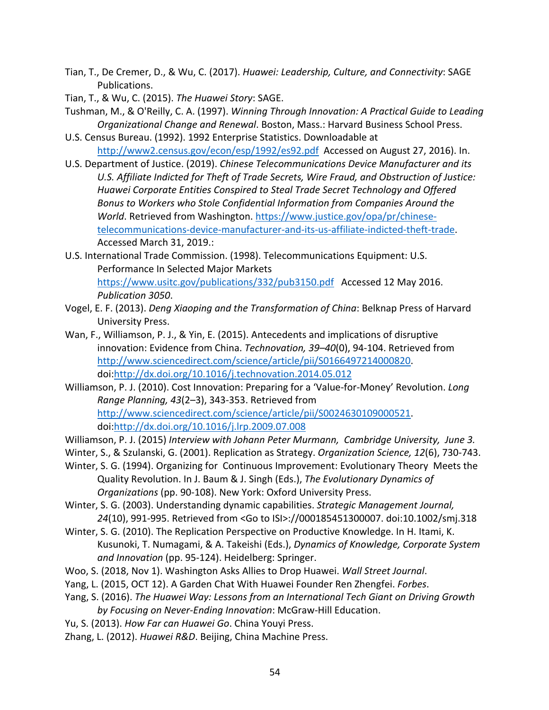Tian, T., De Cremer, D., & Wu, C. (2017). *Huawei: Leadership, Culture, and Connectivity*: SAGE Publications.

Tian, T., & Wu, C. (2015). *The Huawei Story*: SAGE.

- Tushman, M., & O'Reilly, C. A. (1997). *Winning Through Innovation: A Practical Guide to Leading Organizational Change and Renewal*. Boston, Mass.: Harvard Business School Press.
- U.S. Census Bureau. (1992). 1992 Enterprise Statistics. Downloadable at http://www2.census.gov/econ/esp/1992/es92.pdf Accessed on August 27, 2016). In.
- U.S. Department of Justice. (2019). *Chinese Telecommunications Device Manufacturer and its U.S. Affiliate Indicted for Theft of Trade Secrets, Wire Fraud, and Obstruction of Justice: Huawei Corporate Entities Conspired to Steal Trade Secret Technology and Offered Bonus to Workers who Stole Confidential Information from Companies Around the World*. Retrieved from Washington. https://www.justice.gov/opa/pr/chinesetelecommunications-device-manufacturer-and-its-us-affiliate-indicted-theft-trade. Accessed March 31, 2019.:
- U.S. International Trade Commission. (1998). Telecommunications Equipment: U.S. Performance In Selected Major Markets https://www.usitc.gov/publications/332/pub3150.pdf Accessed 12 May 2016. *Publication 3050*.
- Vogel, E. F. (2013). *Deng Xiaoping and the Transformation of China*: Belknap Press of Harvard University Press.
- Wan, F., Williamson, P. J., & Yin, E. (2015). Antecedents and implications of disruptive innovation: Evidence from China. *Technovation, 39–40*(0), 94-104. Retrieved from http://www.sciencedirect.com/science/article/pii/S0166497214000820. doi:http://dx.doi.org/10.1016/j.technovation.2014.05.012
- Williamson, P. J. (2010). Cost Innovation: Preparing for a 'Value-for-Money' Revolution. *Long Range Planning, 43*(2–3), 343-353. Retrieved from http://www.sciencedirect.com/science/article/pii/S0024630109000521. doi:http://dx.doi.org/10.1016/j.lrp.2009.07.008
- Williamson, P. J. (2015) *Interview with Johann Peter Murmann, Cambridge University, June 3.*
- Winter, S., & Szulanski, G. (2001). Replication as Strategy. *Organization Science, 12*(6), 730-743.
- Winter, S. G. (1994). Organizing for Continuous Improvement: Evolutionary Theory Meets the Quality Revolution. In J. Baum & J. Singh (Eds.), *The Evolutionary Dynamics of Organizations* (pp. 90-108). New York: Oxford University Press.
- Winter, S. G. (2003). Understanding dynamic capabilities. *Strategic Management Journal, 24*(10), 991-995. Retrieved from <Go to ISI>://000185451300007. doi:10.1002/smj.318
- Winter, S. G. (2010). The Replication Perspective on Productive Knowledge. In H. Itami, K. Kusunoki, T. Numagami, & A. Takeishi (Eds.), *Dynamics of Knowledge, Corporate System and Innovation* (pp. 95-124). Heidelberg: Springer.
- Woo, S. (2018, Nov 1). Washington Asks Allies to Drop Huawei. *Wall Street Journal*.
- Yang, L. (2015, OCT 12). A Garden Chat With Huawei Founder Ren Zhengfei. *Forbes*.
- Yang, S. (2016). *The Huawei Way: Lessons from an International Tech Giant on Driving Growth by Focusing on Never-Ending Innovation*: McGraw-Hill Education.
- Yu, S. (2013). *How Far can Huawei Go*. China Youyi Press.
- Zhang, L. (2012). *Huawei R&D*. Beijing, China Machine Press.